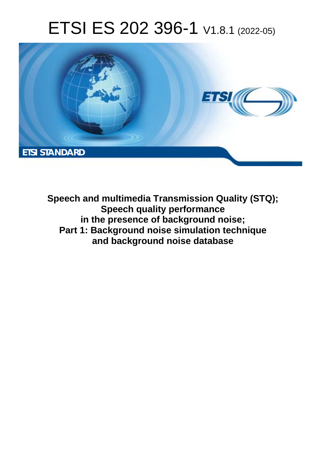# ETSI ES 202 396-1 V1.8.1 (2022-05)



**Speech and multimedia Transmission Quality (STQ); Speech quality performance in the presence of background noise; Part 1: Background noise simulation technique and background noise database**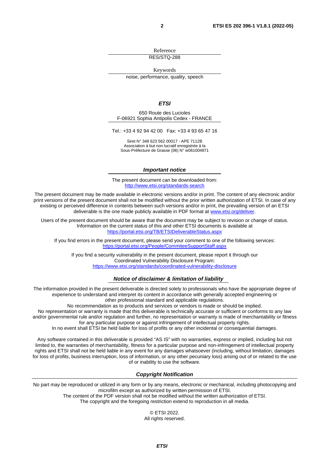Reference

RES/STQ-288

Keywords

noise, performance, quality, speech

#### *ETSI*

650 Route des Lucioles F-06921 Sophia Antipolis Cedex - FRANCE

Tel.: +33 4 92 94 42 00 Fax: +33 4 93 65 47 16

Siret N° 348 623 562 00017 - APE 7112B Association à but non lucratif enregistrée à la Sous-Préfecture de Grasse (06) N° w061004871

#### *Important notice*

The present document can be downloaded from: <http://www.etsi.org/standards-search>

The present document may be made available in electronic versions and/or in print. The content of any electronic and/or print versions of the present document shall not be modified without the prior written authorization of ETSI. In case of any existing or perceived difference in contents between such versions and/or in print, the prevailing version of an ETSI deliverable is the one made publicly available in PDF format at [www.etsi.org/deliver](http://www.etsi.org/deliver).

Users of the present document should be aware that the document may be subject to revision or change of status. Information on the current status of this and other ETSI documents is available at <https://portal.etsi.org/TB/ETSIDeliverableStatus.aspx>

If you find errors in the present document, please send your comment to one of the following services: <https://portal.etsi.org/People/CommiteeSupportStaff.aspx>

If you find a security vulnerability in the present document, please report it through our Coordinated Vulnerability Disclosure Program: <https://www.etsi.org/standards/coordinated-vulnerability-disclosure>

#### *Notice of disclaimer & limitation of liability*

The information provided in the present deliverable is directed solely to professionals who have the appropriate degree of experience to understand and interpret its content in accordance with generally accepted engineering or other professional standard and applicable regulations.

No recommendation as to products and services or vendors is made or should be implied.

No representation or warranty is made that this deliverable is technically accurate or sufficient or conforms to any law and/or governmental rule and/or regulation and further, no representation or warranty is made of merchantability or fitness for any particular purpose or against infringement of intellectual property rights.

In no event shall ETSI be held liable for loss of profits or any other incidental or consequential damages.

Any software contained in this deliverable is provided "AS IS" with no warranties, express or implied, including but not limited to, the warranties of merchantability, fitness for a particular purpose and non-infringement of intellectual property rights and ETSI shall not be held liable in any event for any damages whatsoever (including, without limitation, damages for loss of profits, business interruption, loss of information, or any other pecuniary loss) arising out of or related to the use of or inability to use the software.

#### *Copyright Notification*

No part may be reproduced or utilized in any form or by any means, electronic or mechanical, including photocopying and microfilm except as authorized by written permission of ETSI.

> The content of the PDF version shall not be modified without the written authorization of ETSI. The copyright and the foregoing restriction extend to reproduction in all media.

© ETSI 2022. All rights reserved.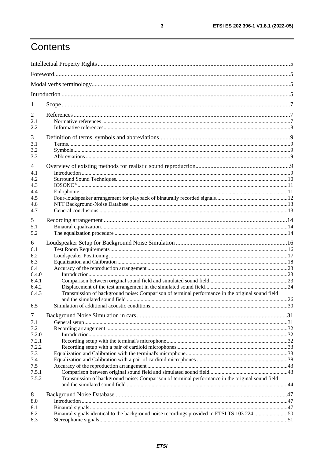# Contents

| 1              |                                                                                                  |  |
|----------------|--------------------------------------------------------------------------------------------------|--|
| 2              |                                                                                                  |  |
| 2.1<br>2.2     |                                                                                                  |  |
| 3              |                                                                                                  |  |
| 3.1            |                                                                                                  |  |
| 3.2<br>3.3     |                                                                                                  |  |
| 4              |                                                                                                  |  |
| 4.1            |                                                                                                  |  |
| 4.2            |                                                                                                  |  |
| 4.3            |                                                                                                  |  |
| 4.4            |                                                                                                  |  |
| 4.5            |                                                                                                  |  |
| 4.6<br>4.7     |                                                                                                  |  |
| 5              |                                                                                                  |  |
| 5.1            |                                                                                                  |  |
| 5.2            |                                                                                                  |  |
|                |                                                                                                  |  |
| 6              |                                                                                                  |  |
| 6.1<br>6.2     |                                                                                                  |  |
| 6.3            |                                                                                                  |  |
| 6.4            |                                                                                                  |  |
| 6.4.0          |                                                                                                  |  |
| 6.4.1          |                                                                                                  |  |
| 6.4.2          |                                                                                                  |  |
| 6.4.3          | Transmission of background noise: Comparison of terminal performance in the original sound field |  |
|                |                                                                                                  |  |
| 6.5            |                                                                                                  |  |
| $\overline{7}$ |                                                                                                  |  |
| 7.1            |                                                                                                  |  |
| 7.2            |                                                                                                  |  |
| 7.2.0          |                                                                                                  |  |
| 7.2.1<br>7.2.2 |                                                                                                  |  |
| 7.3            |                                                                                                  |  |
| 7.4            |                                                                                                  |  |
| 7.5            |                                                                                                  |  |
| 7.5.1          |                                                                                                  |  |
| 7.5.2          | Transmission of background noise: Comparison of terminal performance in the original sound field |  |
|                |                                                                                                  |  |
| 8              |                                                                                                  |  |
| 8.0            |                                                                                                  |  |
| 8.1            |                                                                                                  |  |
| 8.2            | Binaural signals identical to the background noise recordings provided in ETSI TS 103 22450      |  |
| 8.3            |                                                                                                  |  |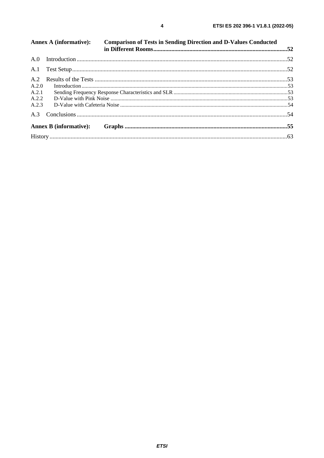| A.2.0<br>A.2.1<br>A.2.2<br>A.2.3 | <b>Annex A (informative):</b><br><b>Comparison of Tests in Sending Direction and D-Values Conducted</b> |  |
|----------------------------------|---------------------------------------------------------------------------------------------------------|--|
|                                  |                                                                                                         |  |
|                                  |                                                                                                         |  |
|                                  |                                                                                                         |  |
|                                  |                                                                                                         |  |
|                                  |                                                                                                         |  |
|                                  |                                                                                                         |  |
|                                  |                                                                                                         |  |
|                                  |                                                                                                         |  |
|                                  |                                                                                                         |  |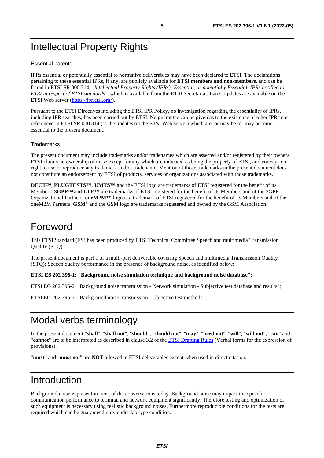# <span id="page-4-0"></span>Intellectual Property Rights

#### Essential patents

IPRs essential or potentially essential to normative deliverables may have been declared to ETSI. The declarations pertaining to these essential IPRs, if any, are publicly available for **ETSI members and non-members**, and can be found in ETSI SR 000 314: *"Intellectual Property Rights (IPRs); Essential, or potentially Essential, IPRs notified to ETSI in respect of ETSI standards"*, which is available from the ETSI Secretariat. Latest updates are available on the ETSI Web server ([https://ipr.etsi.org/\)](https://ipr.etsi.org/).

Pursuant to the ETSI Directives including the ETSI IPR Policy, no investigation regarding the essentiality of IPRs, including IPR searches, has been carried out by ETSI. No guarantee can be given as to the existence of other IPRs not referenced in ETSI SR 000 314 (or the updates on the ETSI Web server) which are, or may be, or may become, essential to the present document.

### **Trademarks**

The present document may include trademarks and/or tradenames which are asserted and/or registered by their owners. ETSI claims no ownership of these except for any which are indicated as being the property of ETSI, and conveys no right to use or reproduce any trademark and/or tradename. Mention of those trademarks in the present document does not constitute an endorsement by ETSI of products, services or organizations associated with those trademarks.

**DECT™**, **PLUGTESTS™**, **UMTS™** and the ETSI logo are trademarks of ETSI registered for the benefit of its Members. **3GPP™** and **LTE™** are trademarks of ETSI registered for the benefit of its Members and of the 3GPP Organizational Partners. **oneM2M™** logo is a trademark of ETSI registered for the benefit of its Members and of the oneM2M Partners. **GSM**® and the GSM logo are trademarks registered and owned by the GSM Association.

### Foreword

This ETSI Standard (ES) has been produced by ETSI Technical Committee Speech and multimedia Transmission Quality (STQ).

The present document is part 1 of a multi-part deliverable covering Speech and multimedia Transmission Quality (STQ); Speech quality performance in the presence of background noise, as identified below:

**ETSI ES 202 396-1: "Background noise simulation technique and background noise database";** 

ETSI EG 202 396-2: "Background noise transmission - Network simulation - Subjective test database and results";

ETSI EG 202 396-3: "Background noise transmission - Objective test methods".

# Modal verbs terminology

In the present document "**shall**", "**shall not**", "**should**", "**should not**", "**may**", "**need not**", "**will**", "**will not**", "**can**" and "**cannot**" are to be interpreted as described in clause 3.2 of the [ETSI Drafting Rules](https://portal.etsi.org/Services/editHelp!/Howtostart/ETSIDraftingRules.aspx) (Verbal forms for the expression of provisions).

"**must**" and "**must not**" are **NOT** allowed in ETSI deliverables except when used in direct citation.

## Introduction

Background noise is present in most of the conversations today. Background noise may impact the speech communication performance to terminal and network equipment significantly. Therefore testing and optimization of such equipment is necessary using realistic background noises. Furthermore reproducible conditions for the tests are required which can be guaranteed only under lab type condition.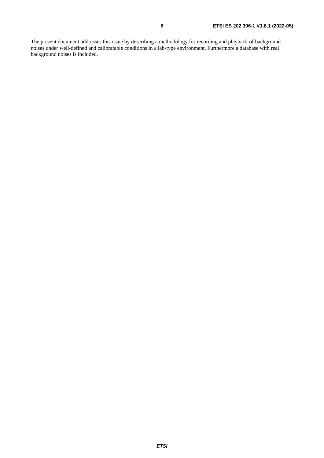The present document addresses this issue by describing a methodology for recording and playback of background noises under well-defined and calibratable conditions in a lab-type environment. Furthermore a database with real background noises is included.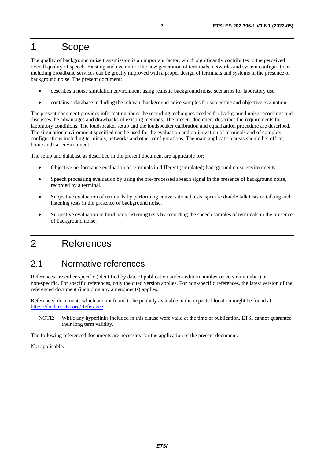### <span id="page-6-0"></span>1 Scope

The quality of background noise transmission is an important factor, which significantly contributes to the perceived overall quality of speech. Existing and even more the new generation of terminals, networks and system configurations including broadband services can be greatly improved with a proper design of terminals and systems in the presence of background noise. The present document:

- describes a noise simulation environment using realistic background noise scenarios for laboratory use;
- contains a database including the relevant background noise samples for subjective and objective evaluation.

The present document provides information about the recording techniques needed for background noise recordings and discusses the advantages and drawbacks of existing methods. The present document describes the requirements for laboratory conditions. The loudspeaker setup and the loudspeaker calibration and equalization procedure are described. The simulation environment specified can be used for the evaluation and optimization of terminals and of complex configurations including terminals, networks and other configurations. The main application areas should be: office, home and car environment.

The setup and database as described in the present document are applicable for:

- Objective performance evaluation of terminals in different (simulated) background noise environments.
- Speech processing evaluation by using the pre-processed speech signal in the presence of background noise, recorded by a terminal.
- Subjective evaluation of terminals by performing conversational tests, specific double talk tests or talking and listening tests in the presence of background noise.
- Subjective evaluation in third party listening tests by recording the speech samples of terminals in the presence of background noise.

# 2 References

### 2.1 Normative references

References are either specific (identified by date of publication and/or edition number or version number) or non-specific. For specific references, only the cited version applies. For non-specific references, the latest version of the referenced document (including any amendments) applies.

Referenced documents which are not found to be publicly available in the expected location might be found at <https://docbox.etsi.org/Reference>.

NOTE: While any hyperlinks included in this clause were valid at the time of publication, ETSI cannot guarantee their long term validity.

The following referenced documents are necessary for the application of the present document.

Not applicable.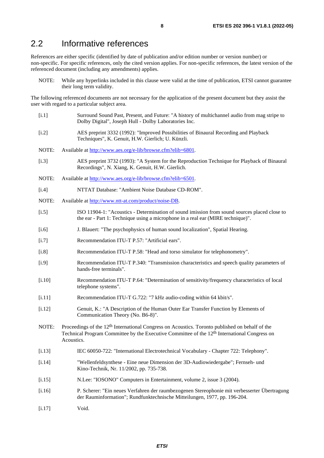### <span id="page-7-0"></span>2.2 Informative references

References are either specific (identified by date of publication and/or edition number or version number) or non-specific. For specific references, only the cited version applies. For non-specific references, the latest version of the referenced document (including any amendments) applies.

NOTE: While any hyperlinks included in this clause were valid at the time of publication, ETSI cannot guarantee their long term validity.

The following referenced documents are not necessary for the application of the present document but they assist the user with regard to a particular subject area.

[i.1] Surround Sound Past, Present, and Future: "A history of multichannel audio from mag stripe to Dolby Digital", Joseph Hull - Dolby Laboratories Inc. [i.2] AES preprint 3332 (1992): "Improved Possibilities of Binaural Recording and Playback Techniques", K. Genuit, H.W. Gierlich; U. Künzli. NOTE: Available at [http://www.aes.org/e-lib/browse.cfm?elib=6801.](http://www.aes.org/e-lib/browse.cfm?elib=6801) [i.3] AES preprint 3732 (1993): "A System for the Reproduction Technique for Playback of Binaural Recordings", N. Xiang, K. Genuit, H.W. Gierlich. NOTE: Available at [http://www.aes.org/e-lib/browse.cfm?elib=6501.](http://www.aes.org/e-lib/browse.cfm?elib=6501) [i.4] NTTAT Database: "Ambient Noise Database CD-ROM". NOTE: Available at [http://www.ntt-at.com/product/noise-DB.](http://www.ntt-at.com/product/noise-DB) [i.5] ISO 11904-1: "Acoustics - Determination of sound imission from sound sources placed close to the ear - Part 1: Technique using a microphone in a real ear (MIRE technique)". [i.6] J. Blauert: "The psychophysics of human sound localization", Spatial Hearing. [i.7] Recommendation ITU-T P.57: "Artificial ears". [i.8] Recommendation ITU-T P.58: "Head and torso simulator for telephonometry". [i.9] Recommendation ITU-T P.340: "Transmission characteristics and speech quality parameters of hands-free terminals". [i.10] Recommendation ITU-T P.64: "Determination of sensitivity/frequency characteristics of local telephone systems". [i.11] Recommendation ITU-T G.722: "7 kHz audio-coding within 64 kbit/s". [i.12] Genuit, K.: "A Description of the Human Outer Ear Transfer Function by Elements of Communication Theory (No. B6-8)". NOTE: Proceedings of the 12<sup>th</sup> International Congress on Acoustics. Toronto published on behalf of the Technical Program Committee by the Executive Committee of the 12<sup>th</sup> International Congress on Acoustics. [i.13] IEC 60050-722: "International Electrotechnical Vocabulary - Chapter 722: Telephony". [i.14] "Wellenfeldsynthese - Eine neue Dimension der 3D-Audiowiedergabe"; Fernseh- und Kino-Technik, Nr. 11/2002, pp. 735-738. [i.15] N.Lee: "IOSONO" Computers in Entertainment, volume 2, issue 3 (2004). [i.16] P. Scherer: "Ein neues Verfahren der raumbezogenen Stereophonie mit verbesserter Übertragung der Rauminformation"; Rundfunktechnische Mitteilungen, 1977, pp. 196-204. [i.17] Void.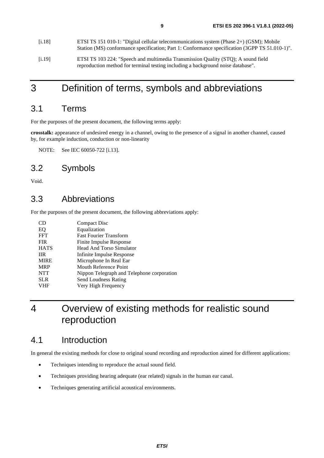<span id="page-8-0"></span>

| [i.18] | ETSI TS 151 010-1: "Digital cellular telecommunications system (Phase $2+$ ) (GSM); Mobile<br>Station (MS) conformance specification; Part 1: Conformance specification (3GPP TS 51.010-1)". |
|--------|----------------------------------------------------------------------------------------------------------------------------------------------------------------------------------------------|
| [1.19] | ETSI TS 103 224: "Speech and multimedia Transmission Quality (STQ); A sound field<br>reproduction method for terminal testing including a background noise database".                        |

## 3 Definition of terms, symbols and abbreviations

### 3.1 Terms

For the purposes of the present document, the following terms apply:

**crosstalk:** appearance of undesired energy in a channel, owing to the presence of a signal in another channel, caused by, for example induction, conduction or non-linearity

NOTE: See IEC 60050-722 [\[i.13](#page-7-0)].

### 3.2 Symbols

Void.

### 3.3 Abbreviations

For the purposes of the present document, the following abbreviations apply:

| Compact Disc                               |
|--------------------------------------------|
| Equalization                               |
| <b>Fast Fourier Transform</b>              |
| Finite Impulse Response                    |
| <b>Head And Torso Simulator</b>            |
| Infinite Impulse Response                  |
| Microphone In Real Ear                     |
| Mouth Reference Point                      |
| Nippon Telegraph and Telephone corporation |
| Send Loudness Rating                       |
| Very High Frequency                        |
|                                            |

# 4 Overview of existing methods for realistic sound reproduction

### 4.1 Introduction

In general the existing methods for close to original sound recording and reproduction aimed for different applications:

- Techniques intending to reproduce the actual sound field.
- Techniques providing hearing adequate (ear related) signals in the human ear canal.
- Techniques generating artificial acoustical environments.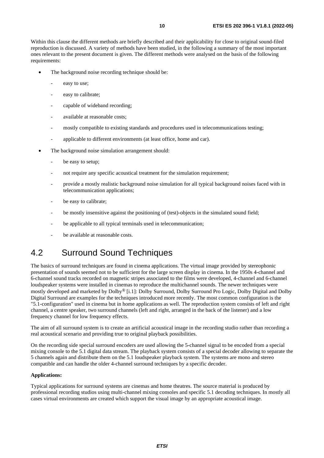<span id="page-9-0"></span>Within this clause the different methods are briefly described and their applicability for close to original sound-filed reproduction is discussed. A variety of methods have been studied, in the following a summary of the most important ones relevant to the present document is given. The different methods were analysed on the basis of the following requirements:

- The background noise recording technique should be:
	- easy to use;
	- easy to calibrate;
	- capable of wideband recording;
	- available at reasonable costs;
	- mostly compatible to existing standards and procedures used in telecommunications testing;
	- applicable to different environments (at least office, home and car).
- The background noise simulation arrangement should:
	- be easy to setup;
	- not require any specific acoustical treatment for the simulation requirement;
	- provide a mostly realistic background noise simulation for all typical background noises faced with in telecommunication applications;
	- be easy to calibrate:
	- be mostly insensitive against the positioning of (test)-objects in the simulated sound field;
	- be applicable to all typical terminals used in telecommunication;
	- be available at reasonable costs.

## 4.2 Surround Sound Techniques

The basics of surround techniques are found in cinema applications. The virtual image provided by stereophonic presentation of sounds seemed not to be sufficient for the large screen display in cinema. In the 1950s 4-channel and 6-channel sound tracks recorded on magnetic stripes associated to the films were developed, 4-channel and 6-channel loudspeaker systems were installed in cinemas to reproduce the multichannel sounds. The newer techniques were mostly developed and marketed by Dolby® [\[i.1\]](#page-7-0): Dolby Surround, Dolby Surround Pro Logic, Dolby Digital and Dolby Digital Surround are examples for the techniques introduced more recently. The most common configuration is the "5.1-configuration" used in cinema but in home applications as well. The reproduction system consists of left and right channel, a centre speaker, two surround channels (left and right, arranged in the back of the listener) and a low frequency channel for low frequency effects.

The aim of all surround system is to create an artificial acoustical image in the recording studio rather than recording a real acoustical scenario and providing true to original playback possibilities.

On the recording side special surround encoders are used allowing the 5-channel signal to be encoded from a special mixing console to the 5.1 digital data stream. The playback system consists of a special decoder allowing to separate the 5 channels again and distribute them on the 5.1 loudspeaker playback system. The systems are mono and stereo compatible and can handle the older 4-channel surround techniques by a specific decoder.

#### **Applications:**

Typical applications for surround systems are cinemas and home theatres. The source material is produced by professional recording studios using multi-channel mixing consoles and specific 5.1 decoding techniques. In mostly all cases virtual environments are created which support the visual image by an appropriate acoustical image.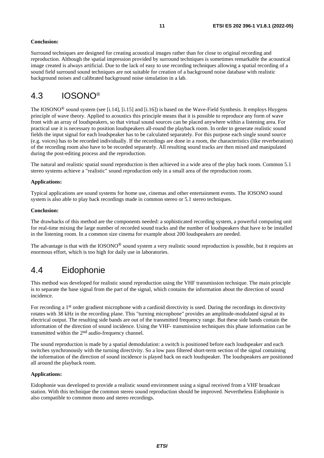#### <span id="page-10-0"></span>**Conclusion:**

Surround techniques are designed for creating acoustical images rather than for close to original recording and reproduction. Although the spatial impression provided by surround techniques is sometimes remarkable the acoustical image created is always artificial. Due to the lack of easy to use recording techniques allowing a spatial recording of a sound field surround sound techniques are not suitable for creation of a background noise database with realistic background noises and calibrated background noise simulation in a lab.

### 4.3 IOSONO®

The IOSONO<sup>®</sup> sound system (see [\[i.14\]](#page-7-0), [\[i.15\]](#page-7-0) and [\[i.16](#page-7-0)]) is based on the Wave-Field Synthesis. It employs Huygens principle of wave theory. Applied to acoustics this principle means that it is possible to reproduce any form of wave front with an array of loudspeakers, so that virtual sound sources can be placed anywhere within a listening area. For practical use it is necessary to position loudspeakers all-round the playback room. In order to generate realistic sound fields the input signal for each loudspeaker has to be calculated separately. For this purpose each single sound source (e.g. voices) has to be recorded individually. If the recordings are done in a room, the characteristics (like reverberation) of the recording room also have to be recorded separately. All resulting sound tracks are then mixed and manipulated during the post-editing process and the reproduction.

The natural and realistic spatial sound reproduction is then achieved in a wide area of the play back room. Common 5.1 stereo systems achieve a "realistic" sound reproduction only in a small area of the reproduction room.

#### **Applications:**

Typical applications are sound systems for home use, cinemas and other entertainment events. The IOSONO sound system is also able to play back recordings made in common stereo or 5.1 stereo techniques.

#### **Conclusion:**

The drawbacks of this method are the components needed: a sophisticated recording system, a powerful computing unit for real-time mixing the large number of recorded sound tracks and the number of loudspeakers that have to be installed in the listening room. In a common size cinema for example about 200 loudspeakers are needed.

The advantage is that with the IOSONO® sound system a very realistic sound reproduction is possible, but it requires an enormous effort, which is too high for daily use in laboratories.

### 4.4 Eidophonie

This method was developed for realistic sound reproduction using the VHF transmission technique. The main principle is to separate the base signal from the part of the signal, which contains the information about the direction of sound incidence.

For recording a 1<sup>st</sup> order gradient microphone with a cardioid directivity is used. During the recordings its directivity rotates with 38 kHz in the recording plane. This "turning microphone" provides an amplitude-modulated signal at its electrical output. The resulting side bands are out of the transmitted frequency range. But these side bands contain the information of the direction of sound incidence. Using the VHF- transmission techniques this phase information can be transmitted within the 2nd audio-frequency channel.

The sound reproduction is made by a spatial demodulation: a switch is positioned before each loudspeaker and each switches synchronously with the turning directivity. So a low pass filtered short-term section of the signal containing the information of the direction of sound incidence is played back on each loudspeaker. The loudspeakers are positioned all around the playback room.

#### **Applications:**

Eidophonie was developed to provide a realistic sound environment using a signal received from a VHF broadcast station. With this technique the common stereo sound reproduction should be improved. Nevertheless Eidophonie is also compatible to common mono and stereo recordings.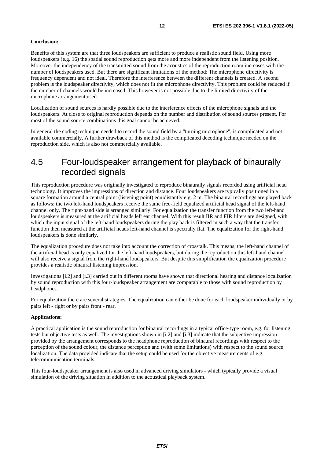#### <span id="page-11-0"></span>**Conclusion:**

Benefits of this system are that three loudspeakers are sufficient to produce a realistic sound field. Using more loudspeakers (e.g. 16) the spatial sound reproduction gets more and more independent from the listening position. Moreover the independency of the transmitted sound from the acoustics of the reproduction room increases with the number of loudspeakers used. But there are significant limitations of the method: The microphone directivity is frequency dependent and not ideal. Therefore the interference between the different channels is created. A second problem is the loudspeaker directivity, which does not fit the microphone directivity. This problem could be reduced if the number of channels would be increased. This however is not possible due to the limited directivity of the microphone arrangement used.

Localization of sound sources is hardly possible due to the interference effects of the microphone signals and the loudspeakers. At close to original reproduction depends on the number and distribution of sound sources present. For most of the sound source combinations this goal cannot be achieved.

In general the coding technique needed to record the sound field by a "turning microphone", is complicated and not available commercially. A further drawback of this method is the complicated decoding technique needed on the reproduction side, which is also not commercially available.

### 4.5 Four-loudspeaker arrangement for playback of binaurally recorded signals

This reproduction procedure was originally investigated to reproduce binaurally signals recorded using artificial head technology. It improves the impressions of direction and distance. Four loudspeakers are typically positioned in a square formation around a central point (listening point) equidistantly e.g. 2 m. The binaural recordings are played back as follows: the two left-hand loudspeakers receive the same free-field equalized artificial head signal of the left-hand channel only. The right-hand side is arranged similarly. For equalization the transfer function from the two left-hand loudspeakers is measured at the artificial heads left ear channel. With this result IIR and FIR filters are designed, with which the input signal of the left-hand loudspeakers during the play back is filtered in such a way that the transfer function then measured at the artificial heads left-hand channel is spectrally flat. The equalization for the right-hand loudspeakers is done similarly.

The equalization procedure does not take into account the correction of crosstalk. This means, the left-hand channel of the artificial head is only equalized for the left-hand loudspeakers, but during the reproduction this left-hand channel will also receive a signal from the right-hand loudspeakers. But despite this simplification the equalization procedure provides a realistic binaural listening impression.

Investigations [\[i.2](#page-7-0)] and [[i.3](#page-7-0)] carried out in different rooms have shown that directional hearing and distance localization by sound reproduction with this four-loudspeaker arrangement are comparable to those with sound reproduction by headphones.

For equalization there are several strategies. The equalization can either be done for each loudspeaker individually or by pairs left - right or by pairs front - rear.

#### **Applications:**

A practical application is the sound reproduction for binaural recordings in a typical office-type room, e.g. for listening tests but objective tests as well. The investigations shown in [[i.2](#page-7-0)] and [\[i.3](#page-7-0)] indicate that the subjective impression provided by the arrangement corresponds to the headphone reproduction of binaural recordings with respect to the perception of the sound colour, the distance perception and (with some limitations) with respect to the sound source localization. The data provided indicate that the setup could be used for the objective measurements of e.g. telecommunication terminals.

This four-loudspeaker arrangement is also used in advanced driving simulators - which typically provide a visual simulation of the driving situation in addition to the acoustical playback system.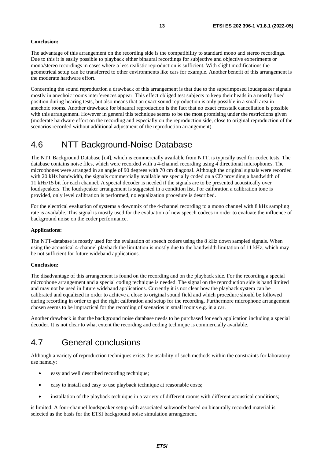#### <span id="page-12-0"></span>**Conclusion:**

The advantage of this arrangement on the recording side is the compatibility to standard mono and stereo recordings. Due to this it is easily possible to playback either binaural recordings for subjective and objective experiments or mono/stereo recordings in cases where a less realistic reproduction is sufficient. With slight modifications the geometrical setup can be transferred to other environments like cars for example. Another benefit of this arrangement is the moderate hardware effort.

Concerning the sound reproduction a drawback of this arrangement is that due to the superimposed loudspeaker signals mostly in anechoic rooms interferences appear. This effect obliged test subjects to keep their heads in a mostly fixed position during hearing tests, but also means that an exact sound reproduction is only possible in a small area in anechoic rooms. Another drawback for binaural reproduction is the fact that no exact crosstalk cancellation is possible with this arrangement. However in general this technique seems to be the most promising under the restrictions given (moderate hardware effort on the recording and especially on the reproduction side, close to original reproduction of the scenarios recorded without additional adjustment of the reproduction arrangement).

### 4.6 NTT Background-Noise Database

The NTT Background Database [\[i.4](#page-7-0)], which is commercially available from NTT, is typically used for codec tests. The database contains noise files, which were recorded with a 4-channel recording using 4 directional microphones. The microphones were arranged in an angle of 90 degrees with 70 cm diagonal. Although the original signals were recorded with 20 kHz bandwidth, the signals commercially available are specially coded on a CD providing a bandwidth of 11 kHz/15 bit for each channel. A special decoder is needed if the signals are to be presented acoustically over loudspeakers. The loudspeaker arrangement is suggested in a condition list. For calibration a calibration tone is provided, only level calibration is performed, no equalization procedure is described.

For the electrical evaluation of systems a downmix of the 4-channel recording to a mono channel with 8 kHz sampling rate is available. This signal is mostly used for the evaluation of new speech codecs in order to evaluate the influence of background noise on the coder performance.

#### **Applications:**

The NTT-database is mostly used for the evaluation of speech coders using the 8 kHz down sampled signals. When using the acoustical 4-channel playback the limitation is mostly due to the bandwidth limitation of 11 kHz, which may be not sufficient for future wideband applications.

#### **Conclusion:**

The disadvantage of this arrangement is found on the recording and on the playback side. For the recording a special microphone arrangement and a special coding technique is needed. The signal on the reproduction side is band limited and may not be used in future wideband applications. Currently it is not clear how the playback system can be calibrated and equalized in order to achieve a close to original sound field and which procedure should be followed during recording in order to get the right calibration and setup for the recording. Furthermore microphone arrangement chosen seems to be impractical for the recording of scenarios in small rooms e.g. in a car.

Another drawback is that the background noise database needs to be purchased for each application including a special decoder. It is not clear to what extent the recording and coding technique is commercially available.

### 4.7 General conclusions

Although a variety of reproduction techniques exists the usability of such methods within the constraints for laboratory use namely:

- easy and well described recording technique;
- easy to install and easy to use playback technique at reasonable costs;
- installation of the playback technique in a variety of different rooms with different acoustical conditions;

is limited. A four-channel loudspeaker setup with associated subwoofer based on binaurally recorded material is selected as the basis for the ETSI background noise simulation arrangement.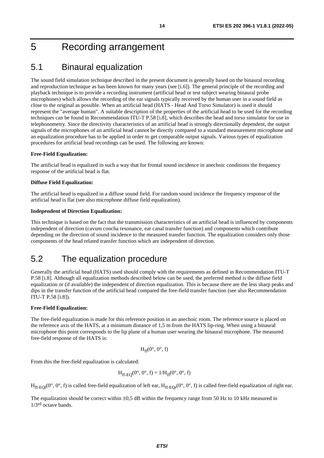## <span id="page-13-0"></span>5 Recording arrangement

### 5.1 Binaural equalization

The sound field simulation technique described in the present document is generally based on the binaural recording and reproduction technique as has been known for many years (see [[i.6](#page-7-0)]). The general principle of the recording and playback technique is to provide a recording instrument (artificial head or test subject wearing binaural probe microphones) which allows the recording of the ear signals typically received by the human user in a sound field as close to the original as possible. When an artificial head (HATS - Head And Torso Simulator) is used it should represent the "average human". A suitable description of the properties of the artificial head to be used for the recording techniques can be found in Recommendation ITU-T P.58 [[i.8](#page-7-0)], which describes the head and torso simulator for use in telephonometry. Since the directivity characteristics of an artificial head is strongly directionally dependent, the output signals of the microphones of an artificial head cannot be directly compared to a standard measurement microphone and an equalization procedure has to be applied in order to get comparable output signals. Various types of equalization procedures for artificial head recordings can be used. The following are known:

#### **Free-Field Equalization:**

The artificial head is equalized in such a way that for frontal sound incidence in anechoic conditions the frequency response of the artificial head is flat.

#### **Diffuse Field Equalization:**

The artificial head is equalized in a diffuse sound field. For random sound incidence the frequency response of the artificial head is flat (see also microphone diffuse field equalization).

#### **Independent of Direction Equalization:**

This technique is based on the fact that the transmission characteristics of an artificial head is influenced by components independent of direction (cavum concha resonance, ear canal transfer function) and components which contribute depending on the direction of sound incidence to the measured transfer function. The equalization considers only those components of the head related transfer function which are independent of direction.

### 5.2 The equalization procedure

Generally the artificial head (HATS) used should comply with the requirements as defined in Recommendation ITU-T P.58 [\[i.8\]](#page-7-0). Although all equalization methods described below can be used, the preferred method is the diffuse field equalization or (if available) the independent of direction equalization. This is because there are the less sharp peaks and dips in the transfer function of the artificial head compared the free-field transfer function (see also Recommendation ITU-T P.58 [\[i.8](#page-7-0)]).

#### **Free-Field Equalization:**

The free-field equalization is made for this reference position in an anechoic room. The reference source is placed on the reference axis of the HATS, at a minimum distance of 1,5 m from the HATS lip-ring. When using a binaural microphone this point corresponds to the lip plane of a human user wearing the binaural microphone. The measured free-field response of the HATS is:

$$
H_{ff}(0^\circ, 0^\circ, f)
$$

From this the free-field equalization is calculated:

$$
H_{ff\text{-}EQ}(0^\circ, 0^\circ, f) = 1/H_{ff}(0^\circ, 0^\circ, f)
$$

 $H_{ff, FOI}(0^{\circ}, 0^{\circ}, f)$  is called free-field equalization of left ear,  $H_{ff, FOr}(0^{\circ}, 0^{\circ}, f)$  is called free-field equalization of right ear.

The equalization should be correct within  $\pm 0.5$  dB within the frequency range from 50 Hz to 10 kHz measured in  $1/3<sup>rd</sup>$  octave bands.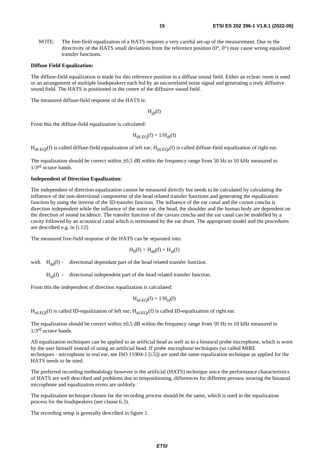NOTE: The free-field equalization of a HATS requires a very careful set-up of the measurement. Due to the directivity of the HATS small deviations from the reference position  $(0^{\circ}, 0^{\circ})$  may cause wrong equalized transfer functions.

#### **Diffuse Field Equalization:**

The diffuse-field equalization is made for this reference position in a diffuse sound field. Either an echoic room is used or an arrangement of multiple loudspeakers each fed by an uncorrelated noise signal and generating a truly diffusive sound field. The HATS is positioned in the centre of the diffusive sound field.

The measured diffuse-field response of the HATS is:

 $H_{df}(f)$ 

From this the diffuse-field equalization is calculated:

$$
H_{df-EQ}(f) = 1/H_{df}(f)
$$

 $H_{df-EOI}(f)$  is called diffuse-field equalization of left ear;  $H_{df-EOI}(f)$  is called diffuse-field equalization of right ear.

The equalization should be correct within  $\pm 0.5$  dB within the frequency range from 50 Hz to 10 kHz measured in 1/3rd octave bands.

#### **Independent of Direction Equalization:**

The independent of direction equalization cannot be measured directly but needs to be calculated by calculating the influence of the non-directional components of the head related transfer functions and generating the equalization function by using the inverse of the ID-transfer function. The influence of the ear canal and the cavum concha is direction independent while the influence of the outer ear, the head, the shoulder and the human body are dependent on the direction of sound incidence. The transfer function of the cavum concha and the ear canal can be modelled by a cavity followed by an acoustical canal which is terminated by the ear drum. The appropriate model and the procedures are described e.g. in [\[i.12](#page-7-0)].

The measured free-field response of the HATS can be separated into:

$$
H_{ff}(f) = H_{dd}(f) + H_{id}(f)
$$

with  $H_{dd}(f)$  - directional dependant part of the head related transfer function.

 $H_{id}(f)$  - directional independent part of the head related transfer function.

From this the independent of direction equalization is calculated:

$$
H_{id-EQ}(f) = 1/H_{id}(f)
$$

 $H_{id-EO}(f)$  is called ID-equalization of left ear;  $H_{id-EO}(f)$  is called ID-equalization of right ear.

The equalization should be correct within  $\pm 0.5$  dB within the frequency range from 50 Hz to 10 kHz measured in  $1/3$ <sup>rd</sup> octave bands.

All equalization techniques can be applied to an artificial head as well as to a binaural probe microphone, which is worn by the user himself instead of using an artificial head. If probe microphone techniques (so called MIRE techniques - microphone in real ear, see ISO 11904-1 [[i.5](#page-7-0)]) are used the same equalization technique as applied for the HATS needs to be used.

The preferred recording methodology however is the artificial (HATS) technique since the performance characteristics of HATS are well described and problems due to mispositioning, differences for different persons wearing the binaural microphone and equalization errors are unlikely.

The equalization technique chosen for the recording process should be the same, which is used in the equalization process for the loudspeakers (see clause 6.3).

The recording setup is generally described in figure [1](#page-15-0).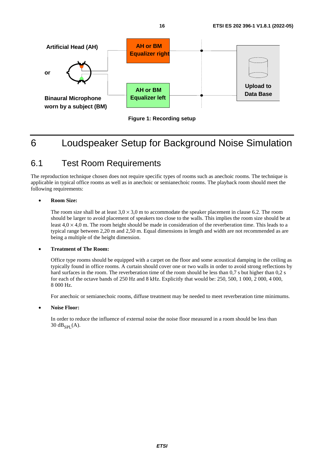<span id="page-15-0"></span>

**Figure 1: Recording setup** 

# 6 Loudspeaker Setup for Background Noise Simulation

### 6.1 Test Room Requirements

The reproduction technique chosen does not require specific types of rooms such as anechoic rooms. The technique is applicable in typical office rooms as well as in anechoic or semianechoic rooms. The playback room should meet the following requirements:

### • **Room Size:**

The room size shall be at least  $3.0 \times 3.0$  m to accommodate the speaker placement in clause 6.2. The room should be larger to avoid placement of speakers too close to the walls. This implies the room size should be at least  $4.0 \times 4.0$  m. The room height should be made in consideration of the reverberation time. This leads to a typical range between 2,20 m and 2,50 m. Equal dimensions in length and width are not recommended as are being a multiple of the height dimension.

### • **Treatment of The Room:**

Office type rooms should be equipped with a carpet on the floor and some acoustical damping in the ceiling as typically found in office rooms. A curtain should cover one or two walls in order to avoid strong reflections by hard surfaces in the room. The reverberation time of the room should be less than 0,7 s but higher than 0,2 s for each of the octave bands of 250 Hz and 8 kHz. Explicitly that would be: 250, 500, 1 000, 2 000, 4 000, 8 000 Hz.

For anechoic or semianechoic rooms, diffuse treatment may be needed to meet reverberation time minimums.

#### • **Noise Floor:**

 In order to reduce the influence of external noise the noise floor measured in a room should be less than 30  $dB_{\text{SPI}}(A)$ .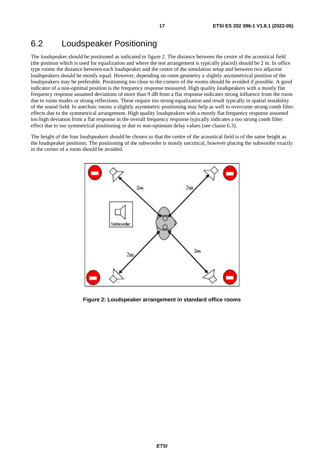### <span id="page-16-0"></span>6.2 Loudspeaker Positioning

The loudspeaker should be positioned as indicated in figure 2. The distance between the centre of the acoustical field (the position which is used for equalization and where the test arrangement is typically placed) should be 2 m. In office type rooms the distance between each loudspeaker and the centre of the simulation setup and between two adjacent loudspeakers should be mostly equal. However, depending on room geometry a slightly asymmetrical position of the loudspeakers may be preferable. Positioning too close to the corners of the rooms should be avoided if possible. A good indicator of a non-optimal position is the frequency response measured. High quality loudspeakers with a mostly flat frequency response assumed deviations of more than 9 dB from a flat response indicates strong influence from the room due to room modes or strong reflections. These require too strong equalization and result typically in spatial instability of the sound field. In anechoic rooms a slightly asymmetric positioning may help as well to overcome strong comb filter effects due to the symmetrical arrangement. High quality loudspeakers with a mostly flat frequency response assumed too high deviation from a flat response in the overall frequency response typically indicates a too strong comb filter effect due to too symmetrical positioning or due to non-optimum delay values (see clause 6.3).

The height of the four loudspeakers should be chosen so that the centre of the acoustical field is of the same height as the loudspeaker positions. The positioning of the subwoofer is mostly uncritical, however placing the subwoofer exactly in the corner of a room should be avoided.



**Figure 2: Loudspeaker arrangement in standard office rooms**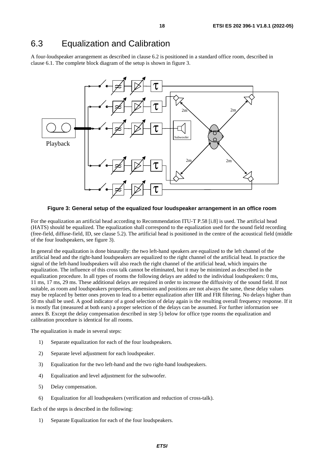### <span id="page-17-0"></span>6.3 Equalization and Calibration

A four-loudspeaker arrangement as described in clause 6.2 is positioned in a standard office room, described in clause 6.1. The complete block diagram of the setup is shown in figure 3.



**Figure 3: General setup of the equalized four loudspeaker arrangement in an office room** 

For the equalization an artificial head according to Recommendation ITU-T P.58 [\[i.8\]](#page-7-0) is used. The artificial head (HATS) should be equalized. The equalization shall correspond to the equalization used for the sound field recording (free-field, diffuse-field, ID, see clause 5.2). The artificial head is positioned in the centre of the acoustical field (middle of the four loudspeakers, see figure 3).

In general the equalization is done binaurally: the two left-hand speakers are equalized to the left channel of the artificial head and the right-hand loudspeakers are equalized to the right channel of the artificial head. In practice the signal of the left-hand loudspeakers will also reach the right channel of the artificial head, which impairs the equalization. The influence of this cross talk cannot be eliminated, but it may be minimized as described in the equalization procedure. In all types of rooms the following delays are added to the individual loudspeakers: 0 ms, 11 ms, 17 ms, 29 ms. These additional delays are required in order to increase the diffusivity of the sound field. If not suitable, as room and loudspeakers properties, dimensions and positions are not always the same, these delay values may be replaced by better ones proven to lead to a better equalization after IIR and FIR filtering. No delays higher than 50 ms shall be used. A good indicator of a good selection of delay again is the resulting overall frequency response. If it is mostly flat (measured at both ears) a proper selection of the delays can be assumed. For further information see annex B. Except the delay compensation described in step 5) below for office type rooms the equalization and calibration procedure is identical for all rooms.

The equalization is made in several steps:

- 1) Separate equalization for each of the four loudspeakers.
- 2) Separate level adjustment for each loudspeaker.
- 3) Equalization for the two left-hand and the two right-hand loudspeakers.
- 4) Equalization and level adjustment for the subwoofer.
- 5) Delay compensation.
- 6) Equalization for all loudspeakers (verification and reduction of cross-talk).

Each of the steps is described in the following:

1) Separate Equalization for each of the four loudspeakers.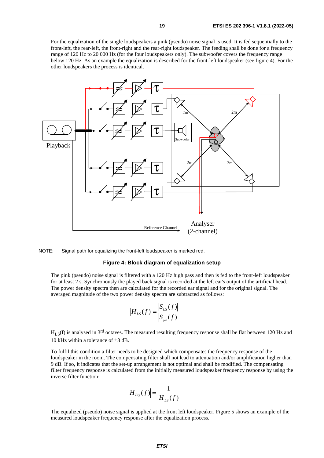For the equalization of the single loudspeakers a pink (pseudo) noise signal is used. It is fed sequentially to the front-left, the rear-left, the front-right and the rear-right loudspeaker. The feeding shall be done for a frequency range of 120 Hz to 20 000 Hz (for the four loudspeakers only). The subwoofer covers the frequency range below 120 Hz. As an example the equalization is described for the front-left loudspeaker (see figure 4). For the other loudspeakers the process is identical.



NOTE: Signal path for equalizing the front-left loudspeaker is marked red.

#### **Figure 4: Block diagram of equalization setup**

 The pink (pseudo) noise signal is filtered with a 120 Hz high pass and then is fed to the front-left loudspeaker for at least 2 s. Synchronously the played back signal is recorded at the left ear's output of the artificial head. The power density spectra then are calculated for the recorded ear signal and for the original signal. The averaged magnitude of the two power density spectra are subtracted as follows:

$$
|H_{LS}(f)| = \frac{|S_{LS}(f)|}{|S_{pn}(f)|}
$$

 $H_{I}$  s(f) is analysed in 3<sup>rd</sup> octaves. The measured resulting frequency response shall be flat between 120 Hz and 10 kHz within a tolerance of ±3 dB.

 To fulfil this condition a filter needs to be designed which compensates the frequency response of the loudspeaker in the room. The compensating filter shall not lead to attenuation and/or amplification higher than 9 dB. If so, it indicates that the set-up arrangement is not optimal and shall be modified. The compensating filter frequency response is calculated from the initially measured loudspeaker frequency response by using the inverse filter function:

$$
\left|H_{EQ}(f)\right| = \frac{1}{\left|H_{LS}(f)\right|}
$$

 The equalized (pseudo) noise signal is applied at the front left loudspeaker. Figure [5](#page-19-0) shows an example of the measured loudspeaker frequency response after the equalization process.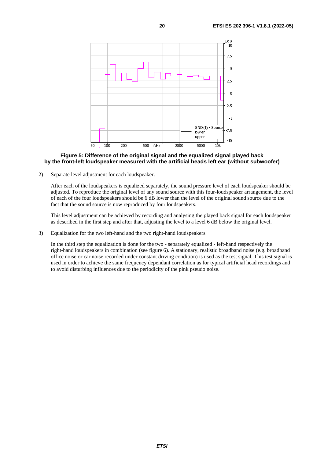<span id="page-19-0"></span>

#### **Figure 5: Difference of the original signal and the equalized signal played back by the front-left loudspeaker measured with the artificial heads left ear (without subwoofer)**

2) Separate level adjustment for each loudspeaker.

 After each of the loudspeakers is equalized separately, the sound pressure level of each loudspeaker should be adjusted. To reproduce the original level of any sound source with this four-loudspeaker arrangement, the level of each of the four loudspeakers should be 6 dB lower than the level of the original sound source due to the fact that the sound source is now reproduced by four loudspeakers.

 This level adjustment can be achieved by recording and analysing the played back signal for each loudspeaker as described in the first step and after that, adjusting the level to a level 6 dB below the original level.

3) Equalization for the two left-hand and the two right-hand loudspeakers.

 In the third step the equalization is done for the two - separately equalized - left-hand respectively the right-hand loudspeakers in combination (see figure [6](#page-20-0)). A stationary, realistic broadband noise (e.g. broadband office noise or car noise recorded under constant driving condition) is used as the test signal. This test signal is used in order to achieve the same frequency dependant correlation as for typical artificial head recordings and to avoid disturbing influences due to the periodicity of the pink pseudo noise.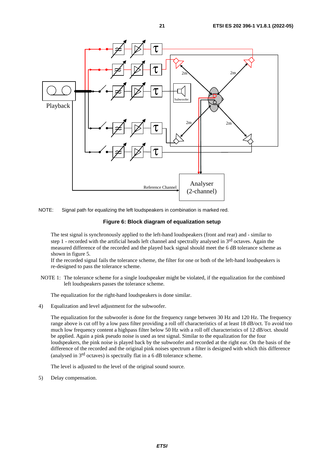<span id="page-20-0"></span>



#### **Figure 6: Block diagram of equalization setup**

 The test signal is synchronously applied to the left-hand loudspeakers (front and rear) and - similar to step 1 - recorded with the artificial heads left channel and spectrally analysed in  $3<sup>rd</sup>$  octaves. Again the measured difference of the recorded and the played back signal should meet the 6 dB tolerance scheme as shown in figure [5](#page-19-0).

If the recorded signal fails the tolerance scheme, the filter for one or both of the left-hand loudspeakers is re-designed to pass the tolerance scheme.

NOTE 1: The tolerance scheme for a single loudspeaker might be violated, if the equalization for the combined left loudspeakers passes the tolerance scheme.

The equalization for the right-hand loudspeakers is done similar.

4) Equalization and level adjustment for the subwoofer.

 The equalization for the subwoofer is done for the frequency range between 30 Hz and 120 Hz. The frequency range above is cut off by a low pass filter providing a roll off characteristics of at least 18 dB/oct. To avoid too much low frequency content a highpass filter below 50 Hz with a roll off characteristics of 12 dB/oct. should be applied. Again a pink pseudo noise is used as test signal. Similar to the equalization for the four loudspeakers, the pink noise is played back by the subwoofer and recorded at the right ear. On the basis of the difference of the recorded and the original pink noises spectrum a filter is designed with which this difference (analysed in 3rd octaves) is spectrally flat in a 6 dB tolerance scheme.

The level is adjusted to the level of the original sound source.

5) Delay compensation.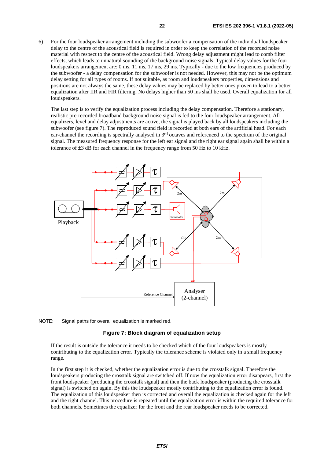6) For the four loudspeaker arrangement including the subwoofer a compensation of the individual loudspeaker delay to the centre of the acoustical field is required in order to keep the correlation of the recorded noise material with respect to the centre of the acoustical field. Wrong delay adjustment might lead to comb filter effects, which leads to unnatural sounding of the background noise signals. Typical delay values for the four loudspeakers arrangement are: 0 ms, 11 ms, 17 ms, 29 ms. Typically - due to the low frequencies produced by the subwoofer - a delay compensation for the subwoofer is not needed. However, this may not be the optimum delay setting for all types of rooms. If not suitable, as room and loudspeakers properties, dimensions and positions are not always the same, these delay values may be replaced by better ones proven to lead to a better equalization after IIR and FIR filtering. No delays higher than 50 ms shall be used. Overall equalization for all loudspeakers.

 The last step is to verify the equalization process including the delay compensation. Therefore a stationary, realistic pre-recorded broadband background noise signal is fed to the four-loudspeaker arrangement. All equalizers, level and delay adjustments are active, the signal is played back by all loudspeakers including the subwoofer (see figure 7). The reproduced sound field is recorded at both ears of the artificial head. For each ear-channel the recording is spectrally analysed in 3rd octaves and referenced to the spectrum of the original signal. The measured frequency response for the left ear signal and the right ear signal again shall be within a tolerance of ±3 dB for each channel in the frequency range from 50 Hz to 10 kHz.





#### **Figure 7: Block diagram of equalization setup**

 If the result is outside the tolerance it needs to be checked which of the four loudspeakers is mostly contributing to the equalization error. Typically the tolerance scheme is violated only in a small frequency range.

 In the first step it is checked, whether the equalization error is due to the crosstalk signal. Therefore the loudspeakers producing the crosstalk signal are switched off. If now the equalization error disappears, first the front loudspeaker (producing the crosstalk signal) and then the back loudspeaker (producing the crosstalk signal) is switched on again. By this the loudspeaker mostly contributing to the equalization error is found. The equalization of this loudspeaker then is corrected and overall the equalization is checked again for the left and the right channel. This procedure is repeated until the equalization error is within the required tolerance for both channels. Sometimes the equalizer for the front and the rear loudspeaker needs to be corrected.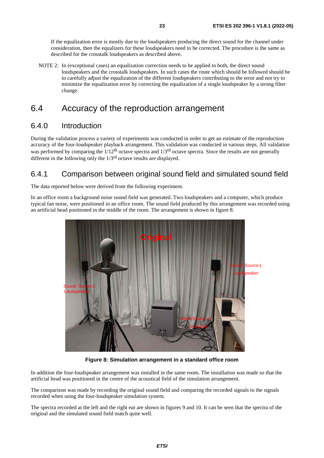<span id="page-22-0"></span> If the equalization error is mostly due to the loudspeakers producing the direct sound for the channel under consideration, then the equalizers for these loudspeakers need to be corrected. The procedure is the same as described for the crosstalk loudspeakers as described above.

NOTE 2: In (exceptional cases) an equalization correction needs to be applied to both, the direct sound loudspeakers and the crosstalk loudspeakers. In such cases the route which should be followed should be to carefully adjust the equalization of the different loudspeakers contributing to the error and not try to minimize the equalization error by correcting the equalization of a single loudspeaker by a strong filter change.

### 6.4 Accuracy of the reproduction arrangement

### 6.4.0 Introduction

During the validation process a variety of experiments was conducted in order to get an estimate of the reproduction accuracy of the four-loudspeaker playback arrangement. This validation was conducted in various steps. All validation was performed by comparing the  $1/12<sup>th</sup>$  octave spectra and  $1/3<sup>rd</sup>$  octave spectra. Since the results are not generally different in the following only the 1/3<sup>rd</sup> octave results are displayed.

### 6.4.1 Comparison between original sound field and simulated sound field

The data reported below were derived from the following experiment.

In an office room a background noise sound field was generated. Two loudspeakers and a computer, which produce typical fan noise, were positioned in an office room. The sound field produced by this arrangement was recorded using an artificial head positioned in the middle of the room. The arrangement is shown in figure 8.



**Figure 8: Simulation arrangement in a standard office room** 

In addition the four-loudspeaker arrangement was installed in the same room. The installation was made so that the artificial head was positioned in the centre of the acoustical field of the simulation arrangement.

The comparison was made by recording the original sound field and comparing the recorded signals to the signals recorded when using the four-loudspeaker simulation system.

The spectra recorded at the left and the right ear are shown in figures [9](#page-23-0) and [10](#page-23-0). It can be seen that the spectra of the original and the simulated sound field match quite well.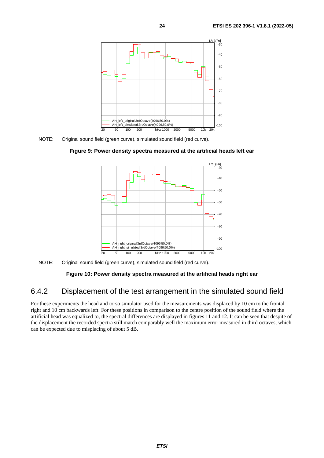<span id="page-23-0"></span>

NOTE: Original sound field (green curve), simulated sound field (red curve).





NOTE: Original sound field (green curve), simulated sound field (red curve).

### **Figure 10: Power density spectra measured at the artificial heads right ear**

### 6.4.2 Displacement of the test arrangement in the simulated sound field

For these experiments the head and torso simulator used for the measurements was displaced by 10 cm to the frontal right and 10 cm backwards left. For these positions in comparison to the centre position of the sound field where the artificial head was equalized to, the spectral differences are displayed in figures [11](#page-24-0) and [12](#page-24-0). It can be seen that despite of the displacement the recorded spectra still match comparably well the maximum error measured in third octaves, which can be expected due to misplacing of about 5 dB.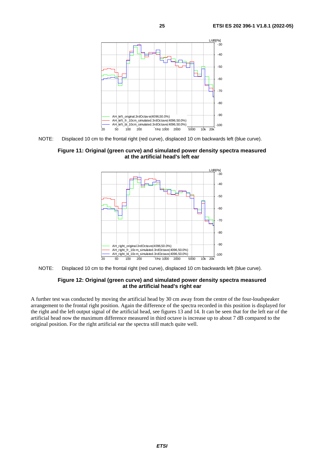<span id="page-24-0"></span>

NOTE: Displaced 10 cm to the frontal right (red curve), displaced 10 cm backwards left (blue curve).

**Figure 11: Original (green curve) and simulated power density spectra measured at the artificial head's left ear** 



NOTE: Displaced 10 cm to the frontal right (red curve), displaced 10 cm backwards left (blue curve).

### **Figure 12: Original (green curve) and simulated power density spectra measured at the artificial head's right ear**

A further test was conducted by moving the artificial head by 30 cm away from the centre of the four-loudspeaker arrangement to the frontal right position. Again the difference of the spectra recorded in this position is displayed for the right and the left output signal of the artificial head, see figures [13](#page-25-0) and [14](#page-25-0). It can be seen that for the left ear of the artificial head now the maximum difference measured in third octave is increase up to about 7 dB compared to the original position. For the right artificial ear the spectra still match quite well.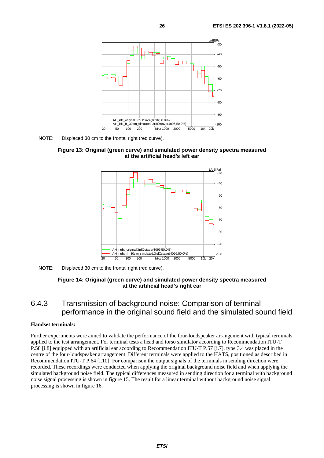<span id="page-25-0"></span>

NOTE: Displaced 30 cm to the frontal right (red curve).





NOTE: Displaced 30 cm to the frontal right (red curve).

### **Figure 14: Original (green curve) and simulated power density spectra measured at the artificial head's right ear**

### 6.4.3 Transmission of background noise: Comparison of terminal performance in the original sound field and the simulated sound field

#### **Handset terminals:**

Further experiments were aimed to validate the performance of the four-loudspeaker arrangement with typical terminals applied to the test arrangement. For terminal tests a head and torso simulator according to Recommendation ITU-T P.58 [\[i.8\]](#page-7-0) equipped with an artificial ear according to Recommendation ITU-T P.57 [[i.7](#page-7-0)], type 3.4 was placed in the centre of the four-loudspeaker arrangement. Different terminals were applied to the HATS, positioned as described in Recommendation ITU-T P.64 [\[i.10](#page-7-0)]. For comparison the output signals of the terminals in sending direction were recorded. These recordings were conducted when applying the original background noise field and when applying the simulated background noise field. The typical differences measured in sending direction for a terminal with background noise signal processing is shown in figure [15](#page-26-0). The result for a linear terminal without background noise signal processing is shown in figure [16](#page-26-0).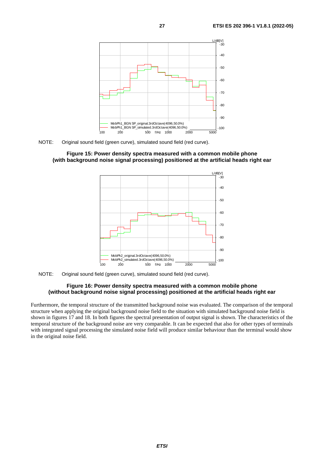<span id="page-26-0"></span>

NOTE: Original sound field (green curve), simulated sound field (red curve).

#### **Figure 15: Power density spectra measured with a common mobile phone (with background noise signal processing) positioned at the artificial heads right ear**



NOTE: Original sound field (green curve), simulated sound field (red curve).

#### **Figure 16: Power density spectra measured with a common mobile phone (without background noise signal processing) positioned at the artificial heads right ear**

Furthermore, the temporal structure of the transmitted background noise was evaluated. The comparison of the temporal structure when applying the original background noise field to the situation with simulated background noise field is shown in figures [17](#page-27-0) and [18](#page-27-0). In both figures the spectral presentation of output signal is shown. The characteristics of the temporal structure of the background noise are very comparable. It can be expected that also for other types of terminals with integrated signal processing the simulated noise field will produce similar behaviour than the terminal would show in the original noise field.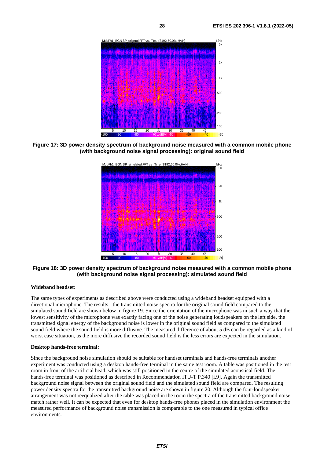<span id="page-27-0"></span>

**Figure 17: 3D power density spectrum of background noise measured with a common mobile phone (with background noise signal processing): original sound field** 



**Figure 18: 3D power density spectrum of background noise measured with a common mobile phone (with background noise signal processing): simulated sound field** 

### **Wideband headset:**

The same types of experiments as described above were conducted using a wideband headset equipped with a directional microphone. The results - the transmitted noise spectra for the original sound field compared to the simulated sound field are shown below in figure [19](#page-28-0). Since the orientation of the microphone was in such a way that the lowest sensitivity of the microphone was exactly facing one of the noise generating loudspeakers on the left side, the transmitted signal energy of the background noise is lower in the original sound field as compared to the simulated sound field where the sound field is more diffusive. The measured difference of about 5 dB can be regarded as a kind of worst case situation, as the more diffusive the recorded sound field is the less errors are expected in the simulation.

### **Desktop hands-free terminal:**

Since the background noise simulation should be suitable for handset terminals and hands-free terminals another experiment was conducted using a desktop hands-free terminal in the same test room. A table was positioned in the test room in front of the artificial head, which was still positioned in the centre of the simulated acoustical field. The hands-free terminal was positioned as described in Recommendation ITU-T P.340 [[i.9](#page-7-0)]. Again the transmitted background noise signal between the original sound field and the simulated sound field are compared. The resulting power density spectra for the transmitted background noise are shown in figure [20](#page-28-0). Although the four-loudspeaker arrangement was not reequalized after the table was placed in the room the spectra of the transmitted background noise match rather well. It can be expected that even for desktop hands-free phones placed in the simulation environment the measured performance of background noise transmission is comparable to the one measured in typical office environments.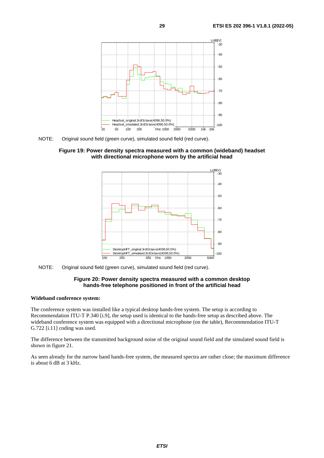<span id="page-28-0"></span>

NOTE: Original sound field (green curve), simulated sound field (red curve).

**Figure 19: Power density spectra measured with a common (wideband) headset with directional microphone worn by the artificial head** 



NOTE: Original sound field (green curve), simulated sound field (red curve).

#### **Figure 20: Power density spectra measured with a common desktop hands-free telephone positioned in front of the artificial head**

#### **Wideband conference system:**

The conference system was installed like a typical desktop hands-free system. The setup is according to Recommendation ITU-T P.340 [\[i.9](#page-7-0)], the setup used is identical to the hands-free setup as described above. The wideband conference system was equipped with a directional microphone (on the table), Recommendation ITU-T G.722 [\[i.11](#page-7-0)] coding was used.

The difference between the transmitted background noise of the original sound field and the simulated sound field is shown in figure 21.

As seen already for the narrow band hands-free system, the measured spectra are rather close; the maximum difference is about 6 dB at 3 kHz.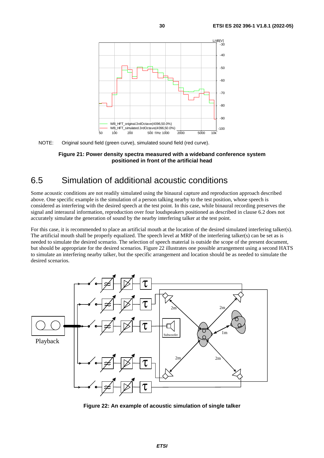<span id="page-29-0"></span>

NOTE: Original sound field (green curve), simulated sound field (red curve).

**Figure 21: Power density spectra measured with a wideband conference system positioned in front of the artificial head** 

### 6.5 Simulation of additional acoustic conditions

Some acoustic conditions are not readily simulated using the binaural capture and reproduction approach described above. One specific example is the simulation of a person talking nearby to the test position, whose speech is considered as interfering with the desired speech at the test point. In this case, while binaural recording preserves the signal and interaural information, reproduction over four loudspeakers positioned as described in clause 6.2 does not accurately simulate the generation of sound by the nearby interfering talker at the test point.

For this case, it is recommended to place an artificial mouth at the location of the desired simulated interfering talker(s). The artificial mouth shall be properly equalized. The speech level at MRP of the interfering talker(s) can be set as is needed to simulate the desired scenario. The selection of speech material is outside the scope of the present document, but should be appropriate for the desired scenarios. Figure 22 illustrates one possible arrangement using a second HATS to simulate an interfering nearby talker, but the specific arrangement and location should be as needed to simulate the desired scenarios.



**Figure 22: An example of acoustic simulation of single talker**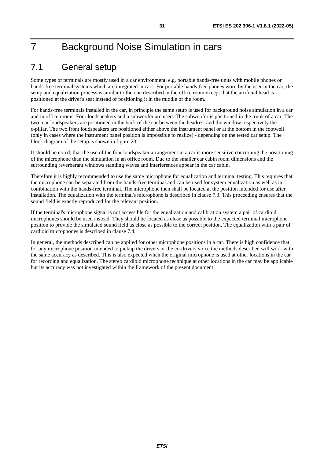# <span id="page-30-0"></span>7 Background Noise Simulation in cars

### 7.1 General setup

Some types of terminals are mostly used in a car environment, e.g. portable hands-free units with mobile phones or hands-free terminal systems which are integrated in cars. For portable hands-free phones worn by the user in the car, the setup and equalization process is similar to the one described in the office room except that the artificial head is positioned at the driver's seat instead of positioning it in the middle of the room.

For hands-free terminals installed in the car, in principle the same setup is used for background noise simulation in a car and in office rooms. Four loudspeakers and a subwoofer are used. The subwoofer is positioned in the trunk of a car. The two rear loudspeakers are positioned in the back of the car between the headrest and the window respectively the c-pillar. The two front loudspeakers are positioned either above the instrument panel or at the bottom in the footwell (only in cases where the instrument panel position is impossible to realize) - depending on the tested car setup. The block diagram of the setup is shown in figure 23.

It should be noted, that the use of the four loudspeaker arrangement in a car is more sensitive concerning the positioning of the microphone than the simulation in an office room. Due to the smaller car cabin room dimensions and the surrounding reverberant windows standing waves and interferences appear in the car cabin.

Therefore it is highly recommended to use the same microphone for equalization and terminal testing. This requires that the microphone can be separated from the hands-free terminal and can be used for system equalization as well as in combination with the hands-free terminal. The microphone then shall be located at the position intended for use after installation. The equalization with the terminal's microphone is described in clause [7.3.](#page-32-0) This proceeding ensures that the sound field is exactly reproduced for the relevant position.

If the terminal's microphone signal is not accessible for the equalization and calibration system a pair of cardioid microphones should be used instead. They should be located as close as possible to the expected terminal microphone position to provide the simulated sound field as close as possible to the correct position. The equalization with a pair of cardioid microphones is described in clause [7.4](#page-37-0).

In general, the methods described can be applied for other microphone positions in a car. There is high confidence that for any microphone position intended to pickup the drivers or the co-drivers voice the methods described will work with the same accuracy as described. This is also expected when the original microphone is used at other locations in the car for recording and equalization. The stereo cardioid microphone technique at other locations in the car may be applicable but its accuracy was not investigated within the framework of the present document.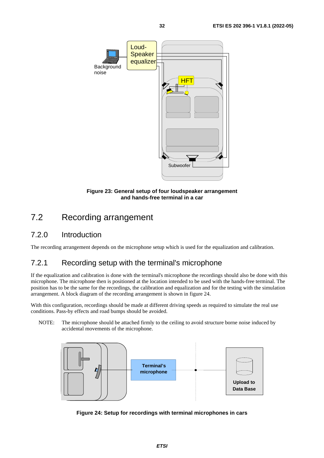<span id="page-31-0"></span>

**Figure 23: General setup of four loudspeaker arrangement and hands-free terminal in a car** 

### 7.2 Recording arrangement

### 7.2.0 Introduction

The recording arrangement depends on the microphone setup which is used for the equalization and calibration.

### 7.2.1 Recording setup with the terminal's microphone

If the equalization and calibration is done with the terminal's microphone the recordings should also be done with this microphone. The microphone then is positioned at the location intended to be used with the hands-free terminal. The position has to be the same for the recordings, the calibration and equalization and for the testing with the simulation arrangement. A block diagram of the recording arrangement is shown in figure 24.

With this configuration, recordings should be made at different driving speeds as required to simulate the real use conditions. Pass-by effects and road bumps should be avoided.

NOTE: The microphone should be attached firmly to the ceiling to avoid structure borne noise induced by accidental movements of the microphone.



**Figure 24: Setup for recordings with terminal microphones in cars**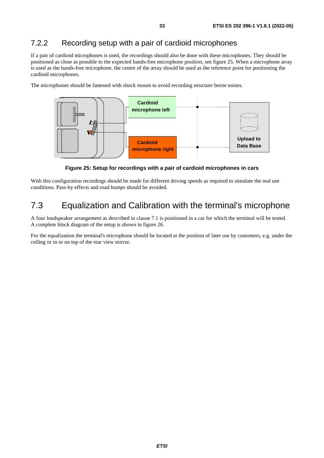### <span id="page-32-0"></span>7.2.2 Recording setup with a pair of cardioid microphones

If a pair of cardioid microphones is used, the recordings should also be done with these microphones. They should be positioned as close as possible to the expected hands-free microphone position, see figure 25. When a microphone array is used as the hands-free microphone, the centre of the array should be used as the reference point for positioning the cardioid microphones.

The microphones should be fastened with shock mount to avoid recording structure borne noises.



**Figure 25: Setup for recordings with a pair of cardioid microphones in cars** 

With this configuration recordings should be made for different driving speeds as required to simulate the real use conditions. Pass-by effects and road bumps should be avoided.

### 7.3 Equalization and Calibration with the terminal's microphone

A four loudspeaker arrangement as described in clause 7.1 is positioned in a car for which the terminal will be tested. A complete block diagram of the setup is shown in figure 26.

For the equalization the terminal's microphone should be located at the position of later use by customers, e.g. under the ceiling or in or on top of the rear view mirror.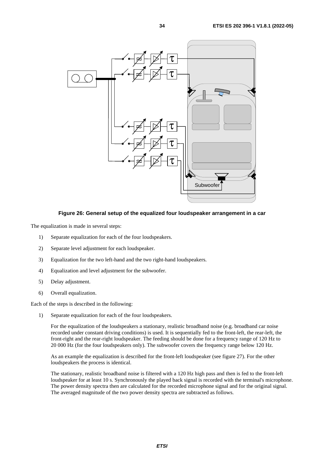

**Figure 26: General setup of the equalized four loudspeaker arrangement in a car** 

The equalization is made in several steps:

- 1) Separate equalization for each of the four loudspeakers.
- 2) Separate level adjustment for each loudspeaker.
- 3) Equalization for the two left-hand and the two right-hand loudspeakers.
- 4) Equalization and level adjustment for the subwoofer.
- 5) Delay adjustment.
- 6) Overall equalization.

Each of the steps is described in the following:

1) Separate equalization for each of the four loudspeakers.

 For the equalization of the loudspeakers a stationary, realistic broadband noise (e.g. broadband car noise recorded under constant driving conditions) is used. It is sequentially fed to the front-left, the rear-left, the front-right and the rear-right loudspeaker. The feeding should be done for a frequency range of 120 Hz to 20 000 Hz (for the four loudspeakers only). The subwoofer covers the frequency range below 120 Hz.

 As an example the equalization is described for the front-left loudspeaker (see figure 27). For the other loudspeakers the process is identical.

 The stationary, realistic broadband noise is filtered with a 120 Hz high pass and then is fed to the front-left loudspeaker for at least 10 s. Synchronously the played back signal is recorded with the terminal's microphone. The power density spectra then are calculated for the recorded microphone signal and for the original signal. The averaged magnitude of the two power density spectra are subtracted as follows.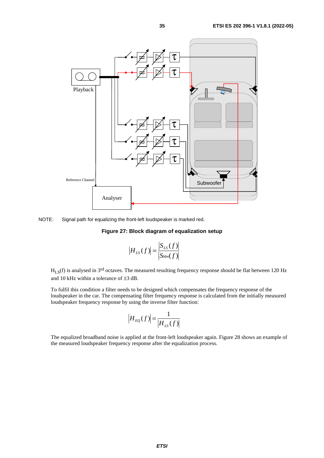

NOTE: Signal path for equalizing the front-left loudspeaker is marked red.

#### **Figure 27: Block diagram of equalization setup**

$$
|H_{LS}(f)| = \frac{|S_{LS}(f)|}{|S_{bbn}(f)|}
$$

 $H_{LS}(f)$  is analysed in 3<sup>rd</sup> octaves. The measured resulting frequency response should be flat between 120 Hz and 10 kHz within a tolerance of ±3 dB.

 To fulfil this condition a filter needs to be designed which compensates the frequency response of the loudspeaker in the car. The compensating filter frequency response is calculated from the initially measured loudspeaker frequency response by using the inverse filter function:

$$
\left|H_{EQ}(f)\right| = \frac{1}{\left|H_{LS}(f)\right|}
$$

 The equalized broadband noise is applied at the front-left loudspeaker again. Figure 28 shows an example of the measured loudspeaker frequency response after the equalization process.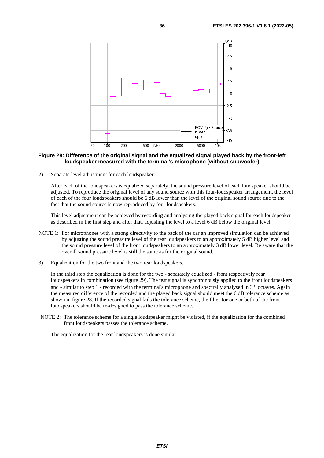

#### **Figure 28: Difference of the original signal and the equalized signal played back by the front-left loudspeaker measured with the terminal's microphone (without subwoofer)**

2) Separate level adjustment for each loudspeaker.

 After each of the loudspeakers is equalized separately, the sound pressure level of each loudspeaker should be adjusted. To reproduce the original level of any sound source with this four-loudspeaker arrangement, the level of each of the four loudspeakers should be 6 dB lower than the level of the original sound source due to the fact that the sound source is now reproduced by four loudspeakers.

 This level adjustment can be achieved by recording and analysing the played back signal for each loudspeaker as described in the first step and after that, adjusting the level to a level 6 dB below the original level.

- NOTE 1: For microphones with a strong directivity to the back of the car an improved simulation can be achieved by adjusting the sound pressure level of the rear loudspeakers to an approximately 5 dB higher level and the sound pressure level of the front loudspeakers to an approximately 3 dB lower level. Be aware that the overall sound pressure level is still the same as for the original sound.
- 3) Equalization for the two front and the two rear loudspeakers.

 In the third step the equalization is done for the two - separately equalized - front respectively rear loudspeakers in combination (see figure 29). The test signal is synchronously applied to the front loudspeakers and - similar to step 1 - recorded with the terminal's microphone and spectrally analysed in 3rd octaves. Again the measured difference of the recorded and the played back signal should meet the 6 dB tolerance scheme as shown in figure 28. If the recorded signal fails the tolerance scheme, the filter for one or both of the front loudspeakers should be re-designed to pass the tolerance scheme.

NOTE 2: The tolerance scheme for a single loudspeaker might be violated, if the equalization for the combined front loudspeakers passes the tolerance scheme.

The equalization for the rear loudspeakers is done similar.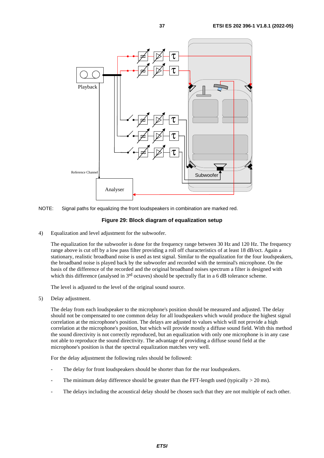

NOTE: Signal paths for equalizing the front loudspeakers in combination are marked red.

#### **Figure 29: Block diagram of equalization setup**

4) Equalization and level adjustment for the subwoofer.

 The equalization for the subwoofer is done for the frequency range between 30 Hz and 120 Hz. The frequency range above is cut off by a low pass filter providing a roll off characteristics of at least 18 dB/oct. Again a stationary, realistic broadband noise is used as test signal. Similar to the equalization for the four loudspeakers, the broadband noise is played back by the subwoofer and recorded with the terminal's microphone. On the basis of the difference of the recorded and the original broadband noises spectrum a filter is designed with which this difference (analysed in 3<sup>rd</sup> octaves) should be spectrally flat in a 6 dB tolerance scheme.

The level is adjusted to the level of the original sound source.

5) Delay adjustment.

 The delay from each loudspeaker to the microphone's position should be measured and adjusted. The delay should not be compensated to one common delay for all loudspeakers which would produce the highest signal correlation at the microphone's position. The delays are adjusted to values which will not provide a high correlation at the microphone's position, but which will provide mostly a diffuse sound field. With this method the sound directivity is not correctly reproduced, but an equalization with only one microphone is in any case not able to reproduce the sound directivity. The advantage of providing a diffuse sound field at the microphone's position is that the spectral equalization matches very well.

For the delay adjustment the following rules should be followed:

- The delay for front loudspeakers should be shorter than for the rear loudspeakers.
- The minimum delay difference should be greater than the FFT-length used (typically  $> 20$  ms).
- The delays including the acoustical delay should be chosen such that they are not multiple of each other.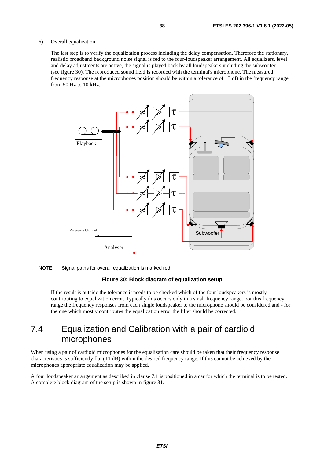#### <span id="page-37-0"></span>6) Overall equalization.

 The last step is to verify the equalization process including the delay compensation. Therefore the stationary, realistic broadband background noise signal is fed to the four-loudspeaker arrangement. All equalizers, level and delay adjustments are active, the signal is played back by all loudspeakers including the subwoofer (see figure 30). The reproduced sound field is recorded with the terminal's microphone. The measured frequency response at the microphones position should be within a tolerance of ±3 dB in the frequency range from 50 Hz to 10 kHz.



NOTE: Signal paths for overall equalization is marked red.

#### **Figure 30: Block diagram of equalization setup**

 If the result is outside the tolerance it needs to be checked which of the four loudspeakers is mostly contributing to equalization error. Typically this occurs only in a small frequency range. For this frequency range the frequency responses from each single loudspeaker to the microphone should be considered and - for the one which mostly contributes the equalization error the filter should be corrected.

### 7.4 Equalization and Calibration with a pair of cardioid microphones

When using a pair of cardioid microphones for the equalization care should be taken that their frequency response characteristics is sufficiently flat  $(\pm 1$  dB) within the desired frequency range. If this cannot be achieved by the microphones appropriate equalization may be applied.

A four loudspeaker arrangement as described in clause 7.1 is positioned in a car for which the terminal is to be tested. A complete block diagram of the setup is shown in figure 31.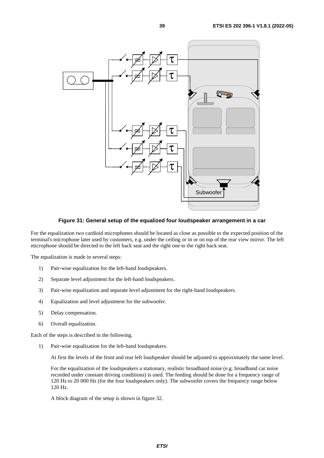

**Figure 31: General setup of the equalized four loudspeaker arrangement in a car** 

For the equalization two cardioid microphones should be located as close as possible to the expected position of the terminal's microphone later used by customers, e.g. under the ceiling or in or on top of the rear view mirror. The left microphone should be directed to the left back seat and the right one to the right back seat.

The equalization is made in several steps:

- 1) Pair-wise equalization for the left-hand loudspeakers.
- 2) Separate level adjustment for the left-hand loudspeakers.
- 3) Pair-wise equalization and separate level adjustment for the right-hand loudspeakers.
- 4) Equalization and level adjustment for the subwoofer.
- 5) Delay compensation.
- 6) Overall equalization.

Each of the steps is described in the following.

1) Pair-wise equalization for the left-hand loudspeakers.

At first the levels of the front and rear left loudspeaker should be adjusted to approximately the same level.

 For the equalization of the loudspeakers a stationary, realistic broadband noise (e.g. broadband car noise recorded under constant driving conditions) is used. The feeding should be done for a frequency range of 120 Hz to 20 000 Hz (for the four loudspeakers only). The subwoofer covers the frequency range below 120 Hz.

A block diagram of the setup is shown in figure 32.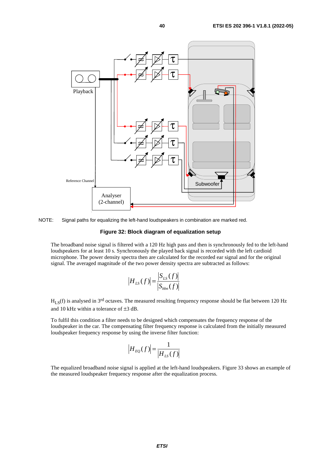

NOTE: Signal paths for equalizing the left-hand loudspeakers in combination are marked red.

#### **Figure 32: Block diagram of equalization setup**

 The broadband noise signal is filtered with a 120 Hz high pass and then is synchronously fed to the left-hand loudspeakers for at least 10 s. Synchronously the played back signal is recorded with the left cardioid microphone. The power density spectra then are calculated for the recorded ear signal and for the original signal. The averaged magnitude of the two power density spectra are subtracted as follows:

$$
H_{LS}(f) = \frac{|S_{LS}(f)|}{|S_{bbn}(f)|}
$$

 $H<sub>I</sub>$ <sub>S</sub>(f) is analysed in 3<sup>rd</sup> octaves. The measured resulting frequency response should be flat between 120 Hz and 10 kHz within a tolerance of ±3 dB.

 To fulfil this condition a filter needs to be designed which compensates the frequency response of the loudspeaker in the car. The compensating filter frequency response is calculated from the initially measured loudspeaker frequency response by using the inverse filter function:

$$
|H_{EQ}(f)| = \frac{1}{|H_{LS}(f)|}
$$

 The equalized broadband noise signal is applied at the left-hand loudspeakers. Figure 33 shows an example of the measured loudspeaker frequency response after the equalization process.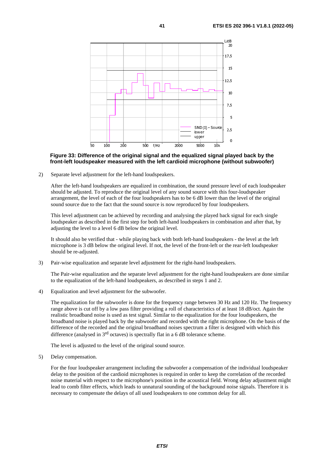

#### **Figure 33: Difference of the original signal and the equalized signal played back by the front-left loudspeaker measured with the left cardioid microphone (without subwoofer)**

2) Separate level adjustment for the left-hand loudspeakers.

 After the left-hand loudspeakers are equalized in combination, the sound pressure level of each loudspeaker should be adjusted. To reproduce the original level of any sound source with this four-loudspeaker arrangement, the level of each of the four loudspeakers has to be 6 dB lower than the level of the original sound source due to the fact that the sound source is now reproduced by four loudspeakers.

 This level adjustment can be achieved by recording and analysing the played back signal for each single loudspeaker as described in the first step for both left-hand loudspeakers in combination and after that, by adjusting the level to a level 6 dB below the original level.

 It should also be verified that - while playing back with both left-hand loudspeakers - the level at the left microphone is 3 dB below the original level. If not, the level of the front-left or the rear-left loudspeaker should be re-adjusted.

3) Pair-wise equalization and separate level adjustment for the right-hand loudspeakers.

 The Pair-wise equalization and the separate level adjustment for the right-hand loudspeakers are done similar to the equalization of the left-hand loudspeakers, as described in steps 1 and 2.

4) Equalization and level adjustment for the subwoofer.

 The equalization for the subwoofer is done for the frequency range between 30 Hz and 120 Hz. The frequency range above is cut off by a low pass filter providing a roll of characteristics of at least 18 dB/oct. Again the realistic broadband noise is used as test signal. Similar to the equalization for the four loudspeakers, the broadband noise is played back by the subwoofer and recorded with the right microphone. On the basis of the difference of the recorded and the original broadband noises spectrum a filter is designed with which this difference (analysed in 3rd octaves) is spectrally flat in a 6 dB tolerance scheme.

The level is adjusted to the level of the original sound source.

5) Delay compensation.

 For the four loudspeaker arrangement including the subwoofer a compensation of the individual loudspeaker delay to the position of the cardioid microphones is required in order to keep the correlation of the recorded noise material with respect to the microphone's position in the acoustical field. Wrong delay adjustment might lead to comb filter effects, which leads to unnatural sounding of the background noise signals. Therefore it is necessary to compensate the delays of all used loudspeakers to one common delay for all.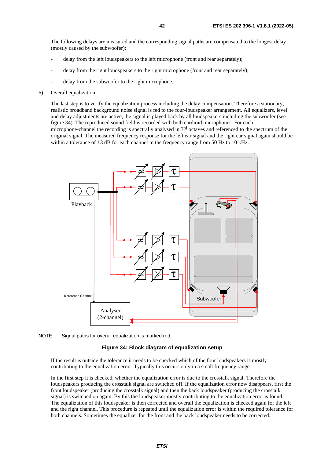The following delays are measured and the corresponding signal paths are compensated to the longest delay (mostly caused by the subwoofer):

- delay from the left loudspeakers to the left microphone (front and rear separately);
- delay from the right loudspeakers to the right microphone (front and rear separately);
- delay from the subwoofer to the right microphone.
- 6) Overall equalization.

 The last step is to verify the equalization process including the delay compensation. Therefore a stationary, realistic broadband background noise signal is fed to the four-loudspeaker arrangement. All equalizers, level and delay adjustments are active, the signal is played back by all loudspeakers including the subwoofer (see figure 34). The reproduced sound field is recorded with both cardioid microphones. For each microphone-channel the recording is spectrally analysed in 3rd octaves and referenced to the spectrum of the original signal. The measured frequency response for the left ear signal and the right ear signal again should be within a tolerance of  $\pm 3$  dB for each channel in the frequency range from 50 Hz to 10 kHz.





#### **Figure 34: Block diagram of equalization setup**

 If the result is outside the tolerance it needs to be checked which of the four loudspeakers is mostly contributing to the equalization error. Typically this occurs only in a small frequency range.

 In the first step it is checked, whether the equalization error is due to the crosstalk signal. Therefore the loudspeakers producing the crosstalk signal are switched off. If the equalization error now disappears, first the front loudspeaker (producing the crosstalk signal) and then the back loudspeaker (producing the crosstalk signal) is switched on again. By this the loudspeaker mostly contributing to the equalization error is found. The equalization of this loudspeaker is then corrected and overall the equalization is checked again for the left and the right channel. This procedure is repeated until the equalization error is within the required tolerance for both channels. Sometimes the equalizer for the front and the back loudspeaker needs to be corrected.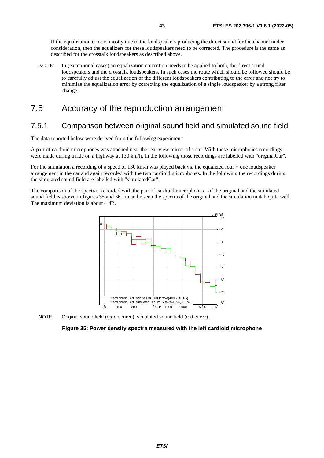<span id="page-42-0"></span> If the equalization error is mostly due to the loudspeakers producing the direct sound for the channel under consideration, then the equalizers for these loudspeakers need to be corrected. The procedure is the same as described for the crosstalk loudspeakers as described above.

NOTE: In (exceptional cases) an equalization correction needs to be applied to both, the direct sound loudspeakers and the crosstalk loudspeakers. In such cases the route which should be followed should be to carefully adjust the equalization of the different loudspeakers contributing to the error and not try to minimize the equalization error by correcting the equalization of a single loudspeaker by a strong filter change.

### 7.5 Accuracy of the reproduction arrangement

### 7.5.1 Comparison between original sound field and simulated sound field

The data reported below were derived from the following experiment:

A pair of cardioid microphones was attached near the rear view mirror of a car. With these microphones recordings were made during a ride on a highway at 130 km/h. In the following those recordings are labelled with "originalCar".

For the simulation a recording of a speed of 130 km/h was played back via the equalized four + one loudspeaker arrangement in the car and again recorded with the two cardioid microphones. In the following the recordings during the simulated sound field are labelled with "simulatedCar".

The comparison of the spectra - recorded with the pair of cardioid microphones - of the original and the simulated sound field is shown in figures 35 and 36. It can be seen the spectra of the original and the simulation match quite well. The maximum deviation is about 4 dB.





**Figure 35: Power density spectra measured with the left cardioid microphone**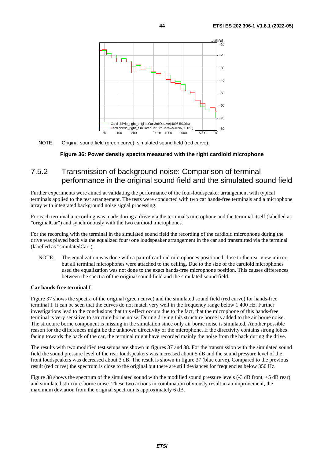<span id="page-43-0"></span>

NOTE: Original sound field (green curve), simulated sound field (red curve).

#### **Figure 36: Power density spectra measured with the right cardioid microphone**

### 7.5.2 Transmission of background noise: Comparison of terminal performance in the original sound field and the simulated sound field

Further experiments were aimed at validating the performance of the four-loudspeaker arrangement with typical terminals applied to the test arrangement. The tests were conducted with two car hands-free terminals and a microphone array with integrated background noise signal processing.

For each terminal a recording was made during a drive via the terminal's microphone and the terminal itself (labelled as "originalCar") and synchronously with the two cardioid microphones.

For the recording with the terminal in the simulated sound field the recording of the cardioid microphone during the drive was played back via the equalized four+one loudspeaker arrangement in the car and transmitted via the terminal (labelled as "simulatedCar").

NOTE: The equalization was done with a pair of cardioid microphones positioned close to the rear view mirror, but all terminal microphones were attached to the ceiling. Due to the size of the cardioid microphones used the equalization was not done to the exact hands-free microphone position. This causes differences between the spectra of the original sound field and the simulated sound field.

#### **Car hands-free terminal I**

Figure 37 shows the spectra of the original (green curve) and the simulated sound field (red curve) for hands-free terminal I. It can be seen that the curves do not match very well in the frequency range below 1 400 Hz. Further investigations lead to the conclusions that this effect occurs due to the fact, that the microphone of this hands-free terminal is very sensitive to structure borne noise. During driving this structure borne is added to the air borne noise. The structure borne component is missing in the simulation since only air borne noise is simulated. Another possible reason for the differences might be the unknown directivity of the microphone. If the directivity contains strong lobes facing towards the back of the car, the terminal might have recorded mainly the noise from the back during the drive.

The results with two modified test setups are shown in figures 37 and 38. For the transmission with the simulated sound field the sound pressure level of the rear loudspeakers was increased about 5 dB and the sound pressure level of the front loudspeakers was decreased about 3 dB. The result is shown in figure 37 (blue curve). Compared to the previous result (red curve) the spectrum is close to the original but there are still deviances for frequencies below 350 Hz.

Figure 38 shows the spectrum of the simulated sound with the modified sound pressure levels (-3 dB front, +5 dB rear) and simulated structure-borne noise. These two actions in combination obviously result in an improvement, the maximum deviation from the original spectrum is approximately 6 dB.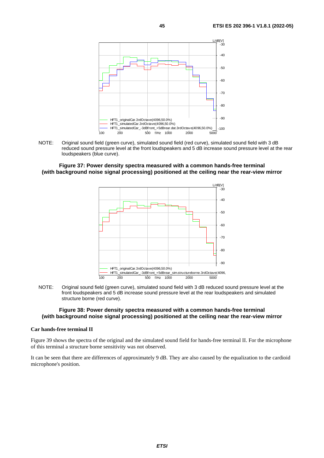

NOTE: Original sound field (green curve), simulated sound field (red curve), simulated sound field with 3 dB reduced sound pressure level at the front loudspeakers and 5 dB increase sound pressure level at the rear loudspeakers (blue curve).

**Figure 37: Power density spectra measured with a common hands-free terminal (with background noise signal processing) positioned at the ceiling near the rear-view mirror** 



NOTE: Original sound field (green curve), simulated sound field with 3 dB reduced sound pressure level at the front loudspeakers and 5 dB increase sound pressure level at the rear loudspeakers and simulated structure borne (red curve).

#### **Figure 38: Power density spectra measured with a common hands-free terminal (with background noise signal processing) positioned at the ceiling near the rear-view mirror**

#### **Car hands-free terminal II**

Figure 39 shows the spectra of the original and the simulated sound field for hands-free terminal II. For the microphone of this terminal a structure borne sensitivity was not observed.

It can be seen that there are differences of approximately 9 dB. They are also caused by the equalization to the cardioid microphone's position.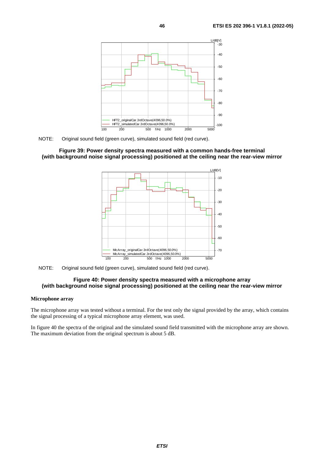



#### **Figure 39: Power density spectra measured with a common hands-free terminal (with background noise signal processing) positioned at the ceiling near the rear-view mirror**



NOTE: Original sound field (green curve), simulated sound field (red curve).

#### **Figure 40: Power density spectra measured with a microphone array (with background noise signal processing) positioned at the ceiling near the rear-view mirror**

#### **Microphone array**

The microphone array was tested without a terminal. For the test only the signal provided by the array, which contains the signal processing of a typical microphone array element, was used.

In figure 40 the spectra of the original and the simulated sound field transmitted with the microphone array are shown. The maximum deviation from the original spectrum is about 5 dB.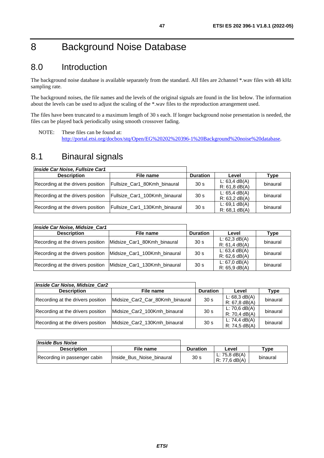# <span id="page-46-0"></span>8 Background Noise Database

### 8.0 Introduction

The background noise database is available separately from the standard. All files are 2channel \*.wav files with 48 kHz sampling rate.

The background noises, the file names and the levels of the original signals are found in the list below. The information about the levels can be used to adjust the scaling of the \*.wav files to the reproduction arrangement used.

The files have been truncated to a maximum length of 30 s each. If longer background noise presentation is needed, the files can be played back periodically using smooth crossover fading.

NOTE: These files can be found at: <http://portal.etsi.org/docbox/stq/Open/EG%20202%20396-1%20Background%20noise%20database>.

### 8.1 Binaural signals

| Inside Car Noise, Fullsize Car1   |                               |                 |                                    |          |
|-----------------------------------|-------------------------------|-----------------|------------------------------------|----------|
| <b>Description</b>                | File name                     | <b>Duration</b> | Level                              | Type     |
| Recording at the drivers position | Fullsize_Car1_80Kmh_binaural  | 30 <sub>s</sub> | L: 63.4 dB(A)<br>$R: 61, 8$ dB(A)  | binaural |
| Recording at the drivers position | Fullsize_Car1_100Kmh_binaural | 30 <sub>s</sub> | L: $65.4$ dB(A)<br>R: 63.2 dB(A)   | binaural |
| Recording at the drivers position | Fullsize_Car1_130Kmh_binaural | 30 <sub>s</sub> | $L: 69.1$ dB(A)<br>$R: 68.1$ dB(A) | binaural |

| Inside Car Noise, Midsize Car1    |                              |                 |                                     |          |
|-----------------------------------|------------------------------|-----------------|-------------------------------------|----------|
| <b>Description</b>                | File name                    | <b>Duration</b> | Level                               | Type     |
| Recording at the drivers position | Midsize Car1 80Kmh binaural  | 30 <sub>s</sub> | L: $62.3$ dB(A)<br>R: 61,4 dB(A)    | binaural |
| Recording at the drivers position | Midsize Car1_100Kmh_binaural | 30 <sub>s</sub> | L: 63,4 dB(A)<br>$R: 62, 6$ dB(A)   | binaural |
| Recording at the drivers position | Midsize_Car1_130Kmh_binaural | 30 <sub>s</sub> | L: $67,0$ dB(A)<br>$R: 65, 9$ dB(A) | binaural |

| Inside Car Noise, Midsize_Car2    |                                 |                 |                                    |          |
|-----------------------------------|---------------------------------|-----------------|------------------------------------|----------|
| <b>Description</b>                | File name                       | <b>Duration</b> | Level                              | Type     |
| Recording at the drivers position | Midsize Car2 Car 80Kmh binaural | 30 <sub>s</sub> | L: $68,3$ dB(A)<br>$R: 67.8$ dB(A) | binaural |
| Recording at the drivers position | Midsize_Car2_100Kmh_binaural    | 30 <sub>s</sub> | L: 70,6 $dB(A)$<br>$R: 70,4$ dB(A) | binaural |
| Recording at the drivers position | Midsize_Car2_130Kmh_binaural    | 30 <sub>s</sub> | L: 74,4 $dB(A)$<br>R: 74,5 dB(A)   | binaural |

| <i><b>Inside Bus Noise</b></i> |                           |                 |                                  |                     |
|--------------------------------|---------------------------|-----------------|----------------------------------|---------------------|
| <b>Description</b>             | File name                 | <b>Duration</b> | Level                            | $T$ <sub>V</sub> pe |
| Recording in passenger cabin   | Inside Bus Noise binaural | 30 <sub>s</sub> | L: 75,8 $dB(A)$<br>R: 77.6 dB(A) | binaural            |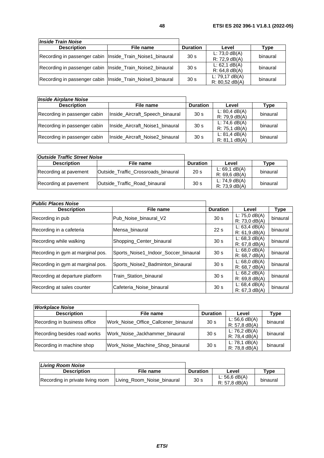| <b>Inside Train Noise</b>                                   |           |                 |                                      |          |
|-------------------------------------------------------------|-----------|-----------------|--------------------------------------|----------|
| <b>Description</b>                                          | File name | <b>Duration</b> | Level                                | Type     |
| Recording in passenger cabin   Inside_Train_Noise1_binaural |           | 30 <sub>s</sub> | L: 73,0 $dB(A)$<br>$R: 72,9$ dB(A)   | binaural |
| Recording in passenger cabin   Inside_Train_Noise2_binaural |           | 30 <sub>s</sub> | L: $62,1$ dB(A)<br>$R: 64, 8$ dB(A)  | binaural |
| Recording in passenger cabin   Inside_Train_Noise3_binaural |           | 30 <sub>s</sub> | L: $79.17$ dB(A)<br>$R: 80,52$ dB(A) | binaural |

| <b>Inside Airplane Noise</b> |                                 |                 |                                        |          |
|------------------------------|---------------------------------|-----------------|----------------------------------------|----------|
| <b>Description</b>           | File name                       | <b>Duration</b> | Level                                  | Type     |
| Recording in passenger cabin | Inside_Aircraft_Speech_binaural | 30 <sub>s</sub> | L: $80.4$ dB(A)<br>$R: 79, 9 \, dB(A)$ | binaural |
| Recording in passenger cabin | Inside Aircraft Noise1 binaural | 30 <sub>s</sub> | L: 74,6 $dB(A)$<br>$R: 75, 1$ dB(A)    | binaural |
| Recording in passenger cabin | Inside_Aircraft_Noise2_binaural | 30 <sub>s</sub> | L: $81.4$ dB(A)<br>$R: 81, 1$ dB(A)    | binaural |

| <b>Outside Traffic Street Noise</b> |                                     |                 |                                    |          |
|-------------------------------------|-------------------------------------|-----------------|------------------------------------|----------|
| <b>Description</b>                  | File name                           | <b>Duration</b> | Level                              | Type     |
| Recording at pavement               | Outside Traffic Crossroads binaural | 20 <sub>s</sub> | L: $69,1$ dB(A)<br>$R: 69.6$ dB(A) | binaural |
| Recording at pavement               | Outside Traffic Road binaural       | 30 <sub>s</sub> | L: 74,9 $dB(A)$<br>$R: 73.9$ dB(A) | binaural |

| <b>Public Places Noise</b>        |                                      |                 |                                     |          |
|-----------------------------------|--------------------------------------|-----------------|-------------------------------------|----------|
| <b>Description</b>                | File name                            | <b>Duration</b> | Level                               | Type     |
| Recording in pub                  | Pub_Noise_binaural_V2                | 30 <sub>s</sub> | L: $75,0$ dB(A)<br>$R: 73,0$ dB(A)  | binaural |
| Recording in a cafeteria          | Mensa binaural                       | 22s             | L: 63,4 dB(A)<br>$R: 61, 9$ dB(A)   | binaural |
| Recording while walking           | Shopping_Center_binaural             | 30 <sub>s</sub> | L: $68,3$ dB(A)<br>$R: 67, 8$ dB(A) | binaural |
| Recording in gym at marginal pos. | Sports_Noise1_Indoor_Soccer_binaural | 30 <sub>s</sub> | L: $68,0$ dB(A)<br>R: 68.7 dB(A)    | binaural |
| Recording in gym at marginal pos. | Sports_Noise2_Badminton_binaural     | 30 <sub>s</sub> | L: $68,0$ dB(A)<br>R: 68.7 dB(A)    | binaural |
| Recording at departure platform   | Train Station binaural               | 30 <sub>s</sub> | L: $68,2$ dB(A)<br>$R: 69.8$ dB(A)  | binaural |
| Recording at sales counter        | Cafeteria Noise binaural             | 30 <sub>s</sub> | L: $68,4$ dB(A)<br>$R: 67, 3$ dB(A) | binaural |

| <b>Workplace Noise</b>       |                                      |                 |                                    |          |
|------------------------------|--------------------------------------|-----------------|------------------------------------|----------|
| <b>Description</b>           | File name                            | <b>Duration</b> | Level                              | Type     |
| Recording in business office | Work Noise Office Callcener binaural | 30 <sub>s</sub> | L: 56,6 $dB(A)$<br>$R: 57.8$ dB(A) | binaural |
| Recording besides road works | Work Noise Jackhammer binaural       | 30 <sub>s</sub> | L: 76,2 $dB(A)$<br>R: 78,4 dB(A)   | binaural |
| Recording in machine shop    | Work_Noise_Machine_Shop_binaural     | 30 <sub>s</sub> | L: 78,1 $dB(A)$<br>$R: 78.8$ dB(A) | binaural |

| Livina Room Noise                |                            |                 |                                    |                    |
|----------------------------------|----------------------------|-----------------|------------------------------------|--------------------|
| <b>Description</b>               | File name                  | <b>Duration</b> | Level                              | $T$ <sub>Vpe</sub> |
| Recording in private living room | Living_Room_Noise_binaural | 30 <sub>s</sub> | $L: 56.6$ dB(A)<br>$R: 57.8$ dB(A) | binaural           |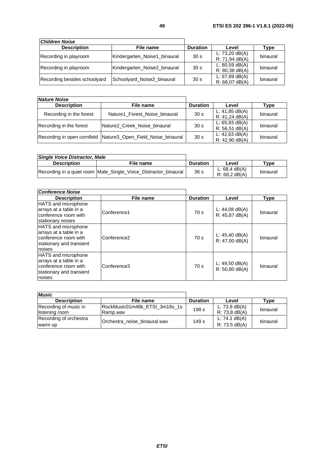| <b>Children Noise</b>        |                              |                 |                                      |          |
|------------------------------|------------------------------|-----------------|--------------------------------------|----------|
| <b>Description</b>           | File name                    | <b>Duration</b> | Level                                | Type     |
| Recording in playroom        | Kindergarten_Noise1_binaural | 30 <sub>s</sub> | L: $73,20$ dB(A)<br>R: 71,94 dB(A)   | binaural |
| Recording in playroom        | Kindergarten_Noise2_binaural | 30 <sub>s</sub> | $L: 80,59$ dB(A)<br>$R: 80,38$ dB(A) | binaural |
| Recording besides schoolyard | Schoolyard_Noise2_binaural   | 30 <sub>s</sub> | L: $67,89$ dB(A)<br>$R: 68,07$ dB(A) | binaural |

| <b>Nature Noise</b>     |                                                               |                 |                                       |          |
|-------------------------|---------------------------------------------------------------|-----------------|---------------------------------------|----------|
| <b>Description</b>      | File name                                                     | <b>Duration</b> | Level                                 | Type     |
| Recording in the forest | Nature1 Forest Noise binaural                                 | 30 <sub>s</sub> | L: $41,85$ dB(A)<br>$R: 41,24$ dB(A)  | binaural |
| Recording in the forest | Nature2 Creek Noise binaural                                  | 30 <sub>s</sub> | L: $65,93$ dB(A)<br>$R: 56, 51$ dB(A) | binaural |
|                         | Recording in open cornfield Nature3_Open_Field_Noise_binaural | 30 <sub>s</sub> | L: $42,63$ dB(A)<br>$R: 42,90$ dB(A)  | binaural |

| Single Voice Distractor, Male |                                                                 |                 |                                  |                                     |
|-------------------------------|-----------------------------------------------------------------|-----------------|----------------------------------|-------------------------------------|
| <b>Description</b>            | File name                                                       | <b>Duration</b> | Level                            | $_{\textcolor{red}{\textbf{Type}}}$ |
|                               | Recording in a quiet room Male_Single_Voice_Distractor_binaural | 36 <sub>s</sub> | L: 68,4 dB(A)<br>$R: 68.2$ dB(A) | binaural                            |

| Conference Noise                                                                                                   |             |                 |                                      |             |
|--------------------------------------------------------------------------------------------------------------------|-------------|-----------------|--------------------------------------|-------------|
| <b>Description</b>                                                                                                 | File name   | <b>Duration</b> | Level                                | <b>Type</b> |
| HATS and microphone<br>arrays at a table in a<br>conference room with<br>stationary noises                         | Conference1 | 70 <sub>s</sub> | L: $44,08$ dB(A)<br>$R: 45,87$ dB(A) | binaural    |
| <b>HATS</b> and microphone<br>arrays at a table in a<br>conference room with<br>stationary and transient<br>noises | Conference2 | 70 <sub>s</sub> | L: $45,40$ dB(A)<br>$R: 47,00$ dB(A) | binaural    |
| HATS and microphone<br>arrays at a table in a<br>conference room with<br>stationary and transient<br>noises        | Conference3 | 70 <sub>s</sub> | L: $49,50$ dB(A)<br>$R: 50.80$ dB(A) | binaural    |

| <b>Music</b>                            |                                           |                 |                                     |          |
|-----------------------------------------|-------------------------------------------|-----------------|-------------------------------------|----------|
| <b>Description</b>                      | File name                                 | <b>Duration</b> | Level                               | Type     |
| Recording of music in<br>listening room | RockMusic01m48k ETSI 3m18s 1s<br>Ramp.wav | 198 s           | L: $73,9$ dB(A)<br>$R: 73, 8$ dB(A) | binaural |
| Recording of orchestra                  | Orchestra noise binaural.wav              | 149 s           | L: 74.1 $dB(A)$                     | binaural |
| warm up                                 |                                           |                 | R: 73.5 dB(A)                       |          |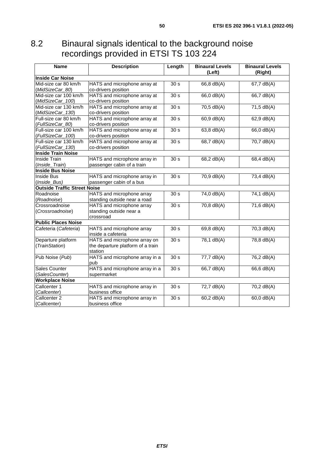## <span id="page-49-0"></span>8.2 Binaural signals identical to the background noise recordings provided in ETSI TS 103 224

| <b>Name</b>                         | <b>Description</b>                | Length            | <b>Binaural Levels</b><br>(Left) | <b>Binaural Levels</b><br>(Right) |
|-------------------------------------|-----------------------------------|-------------------|----------------------------------|-----------------------------------|
| <b>Inside Car Noise</b>             |                                   |                   |                                  |                                   |
| Mid-size car 80 km/h                | HATS and microphone array at      | 30 <sub>s</sub>   | $66,8$ dB(A)                     | $67,7$ dB(A)                      |
| (MidSizeCar_80)                     | co-drivers position               |                   |                                  |                                   |
| Mid-size car 100 km/h               | HATS and microphone array at      | 30 s              | $66,0$ dB(A)                     | $66,7$ dB(A)                      |
| (MidSizeCar_100)                    | co-drivers position               |                   |                                  |                                   |
| Mid-size car 130 km/h               | HATS and microphone array at      | 30 <sub>s</sub>   | 70,5 dB(A)                       | 71,5 dB(A)                        |
| (MidSizeCar_130)                    | co-drivers position               |                   |                                  |                                   |
| Full-size car 80 km/h               | HATS and microphone array at      | 30 <sub>s</sub>   | $60,9$ dB(A)                     | 62,9 dB(A)                        |
| (FullSizeCar_80)                    | co-drivers position               |                   |                                  |                                   |
| Full-size car 100 km/h              | HATS and microphone array at      | $\overline{30 s}$ | $63,8$ dB(A)                     | $66,0$ dB(A)                      |
| (FullSizeCar_100)                   | co-drivers position               |                   |                                  |                                   |
| Full-size car 130 km/h              | HATS and microphone array at      | $\overline{30 s}$ | $68,7$ dB(A)                     | $70,7$ dB(A)                      |
| (FullSizeCar_130)                   | co-drivers position               |                   |                                  |                                   |
| <b>Inside Train Noise</b>           |                                   |                   |                                  |                                   |
| Inside Train                        | HATS and microphone array in      | 30 <sub>s</sub>   | 68,2 dB(A)                       | 68,4 dB(A)                        |
| (Inside_Train)                      | passenger cabin of a train        |                   |                                  |                                   |
| <b>Inside Bus Noise</b>             |                                   |                   |                                  |                                   |
| <b>Inside Bus</b>                   | HATS and microphone array in      | 30 <sub>s</sub>   | 70,9 dB(A)                       | 73,4 dB(A)                        |
| (Inside_Bus)                        | passenger cabin of a bus          |                   |                                  |                                   |
| <b>Outside Traffic Street Noise</b> |                                   |                   |                                  |                                   |
| Roadnoise                           | HATS and microphone array         | 30 <sub>s</sub>   | $74,0$ dB(A)                     | $74,1$ dB(A)                      |
| (Roadnoise)                         | standing outside near a road      |                   |                                  |                                   |
| Crossroadnoise                      | HATS and microphone array         | $\overline{30 s}$ | $70,8$ dB(A)                     | $71,6$ dB(A)                      |
| (Crossroadnoise)                    | standing outside near a           |                   |                                  |                                   |
|                                     | crossroad                         |                   |                                  |                                   |
| <b>Public Places Noise</b>          |                                   |                   |                                  |                                   |
| Cafeteria (Cafeteria)               | HATS and microphone array         | 30 <sub>s</sub>   | $69,8$ dB(A)                     | $70,3$ dB(A)                      |
|                                     | inside a cafeteria                |                   |                                  |                                   |
| Departure platform                  | HATS and microphone array on      | 30 <sub>s</sub>   | $78,1$ dB(A)                     | $78,8$ dB(A)                      |
| (TrainStation)                      | the departure platform of a train |                   |                                  |                                   |
|                                     | station                           |                   |                                  |                                   |
| Pub Noise (Pub)                     | HATS and microphone array in a    | 30 <sub>s</sub>   | $77,7$ dB(A)                     | $76,2$ dB(A)                      |
|                                     | pub                               |                   |                                  |                                   |
| <b>Sales Counter</b>                | HATS and microphone array in a    | 30 <sub>s</sub>   | 66,7 dB(A)                       | 66,6 dB(A)                        |
| (SalesCounter)                      | supermarket                       |                   |                                  |                                   |
| <b>Workplace Noise</b>              |                                   |                   |                                  |                                   |
| Callcenter 1                        | HATS and microphone array in      | 30 <sub>s</sub>   | 72,7 dB(A)                       | 70,2 dB(A)                        |
| (Callcenter)                        | business office                   |                   |                                  |                                   |
| Callcenter <sub>2</sub>             | HATS and microphone array in      | 30 <sub>s</sub>   | 60,2 dB(A)                       | 60,0 dB(A)                        |
| (Callcenter)                        | business office                   |                   |                                  |                                   |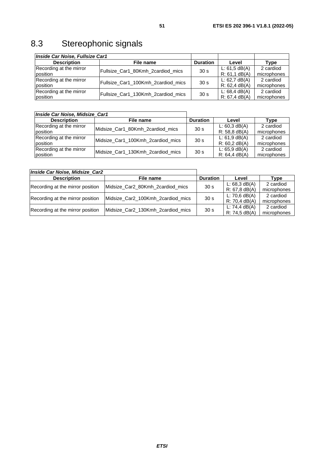# <span id="page-50-0"></span>8.3 Stereophonic signals

| Inside Car Noise, Fullsize Car1 |                                                       |                 |                  |             |
|---------------------------------|-------------------------------------------------------|-----------------|------------------|-------------|
| <b>Description</b>              | File name                                             | <b>Duration</b> | Level            | Type        |
| Recording at the mirror         | Fullsize_Car1_80Kmh_2cardiod_mics                     | 30 <sub>s</sub> | L: 61, 5 dB(A)   | 2 cardiod   |
| position                        |                                                       |                 | $R: 61, 1$ dB(A) | microphones |
| Recording at the mirror         | Fullsize Car1_100Kmh_2cardiod_mics                    | 30 <sub>s</sub> | L: $62,7$ dB(A)  | 2 cardiod   |
| position                        |                                                       |                 | $R: 62, 4$ dB(A) | microphones |
| Recording at the mirror         |                                                       |                 | L: 68,4 dB(A)    | 2 cardiod   |
| position                        | Fullsize_Car1_130Kmh_2cardiod_mics<br>30 <sub>s</sub> |                 | R: 67.4 dB(A)    | microphones |

| Inside Car Noise, Midsize Car1 |                                   |                 |                  |             |
|--------------------------------|-----------------------------------|-----------------|------------------|-------------|
| <b>Description</b>             | File name                         | <b>Duration</b> | Level            | Type        |
| Recording at the mirror        | Midsize_Car1_80Kmh_2cardiod_mics  | 30 <sub>s</sub> | L: $60,3$ dB(A)  | 2 cardiod   |
| position                       |                                   |                 | $R: 58.8$ dB(A)  | microphones |
| Recording at the mirror        |                                   | 30 <sub>s</sub> | $L: 61, 9$ dB(A) | 2 cardiod   |
| position                       | Midsize_Car1_100Kmh_2cardiod_mics |                 | $R: 60, 2$ dB(A) | microphones |
| Recording at the mirror        | Midsize Car1_130Kmh_2cardiod_mics | 30 <sub>s</sub> | $L: 65.9$ dB(A)  | 2 cardiod   |
| position                       |                                   |                 | R: 64.4 dB(A)    | microphones |

| Inside Car Noise, Midsize Car2   |                                    |                  |                 |             |
|----------------------------------|------------------------------------|------------------|-----------------|-------------|
| <b>Description</b>               | File name                          | <b>Duration</b>  | Level           | Type        |
| Recording at the mirror position | Midsize_Car2_80Kmh_2cardiod_mics   | 30 <sub>s</sub>  | L: $68.3$ dB(A) | 2 cardiod   |
|                                  |                                    | $R: 67, 8$ dB(A) | microphones     |             |
| Recording at the mirror position | Midsize Car2 100Kmh 2 cardiod mics | 30 <sub>s</sub>  | L: 70,6 $dB(A)$ | 2 cardiod   |
|                                  |                                    |                  | $R: 70,4$ dB(A) | microphones |
|                                  | Midsize Car2_130Kmh_2cardiod_mics  | 30 <sub>s</sub>  | L: 74,4 $dB(A)$ | 2 cardiod   |
| Recording at the mirror position |                                    |                  | R: 74.5 dB(A)   | microphones |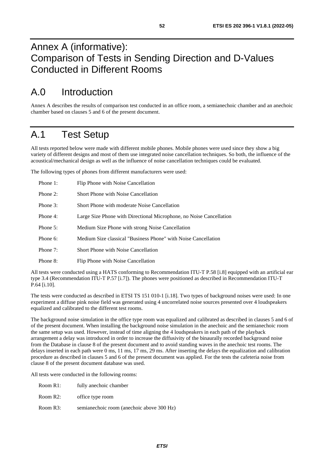# <span id="page-51-0"></span>Annex A (informative): Comparison of Tests in Sending Direction and D-Values Conducted in Different Rooms

# A.0 Introduction

Annex A describes the results of comparison test conducted in an office room, a semianechoic chamber and an anechoic chamber based on clauses 5 and 6 of the present document.

## A.1 Test Setup

All tests reported below were made with different mobile phones. Mobile phones were used since they show a big variety of different designs and most of them use integrated noise cancellation techniques. So both, the influence of the acoustical/mechanical design as well as the influence of noise cancellation techniques could be evaluated.

The following types of phones from different manufacturers were used:

| Phone 1:    | Flip Phone with Noise Cancellation                                  |
|-------------|---------------------------------------------------------------------|
| Phone $2$ : | Short Phone with Noise Cancellation                                 |
| Phone 3:    | Short Phone with moderate Noise Cancellation                        |
| Phone 4:    | Large Size Phone with Directional Microphone, no Noise Cancellation |
| Phone $5$ : | Medium Size Phone with strong Noise Cancellation                    |
| Phone 6:    | Medium Size classical "Business Phone" with Noise Cancellation      |
| Phone 7:    | Short Phone with Noise Cancellation                                 |
| Phone 8:    | Flip Phone with Noise Cancellation                                  |

All tests were conducted using a HATS conforming to Recommendation ITU-T P.58 [[i.8\]](#page-7-0) equipped with an artificial ear type 3.4 (Recommendation ITU-T P.57 [\[i.7\]](#page-7-0)). The phones were positioned as described in Recommendation ITU-T P.64 [\[i.10\]](#page-7-0).

The tests were conducted as described in ETSI TS 151 010-1 [[i.18](#page-8-0)]. Two types of background noises were used: In one experiment a diffuse pink noise field was generated using 4 uncorrelated noise sources presented over 4 loudspeakers equalized and calibrated to the different test rooms.

The background noise simulation in the office type room was equalized and calibrated as described in clauses 5 and 6 of of the present document. When installing the background noise simulation in the anechoic and the semianechoic room the same setup was used. However, instead of time aligning the 4 loudspeakers in each path of the playback arrangement a delay was introduced in order to increase the diffusivity of the binaurally recorded background noise from the Database in clause 8 of the present document and to avoid standing waves in the anechoic test rooms. The delays inserted in each path were 0 ms, 11 ms, 17 ms, 29 ms. After inserting the delays the equalization and calibration procedure as described in clauses 5 and 6 of the present document was applied. For the tests the cafeteria noise from clause 8 of the present document database was used.

All tests were conducted in the following rooms:

| Room R1: | fully anechoic chamber |
|----------|------------------------|
| Room R2: | office type room       |

Room R3: semianechoic room (anechoic above 300 Hz)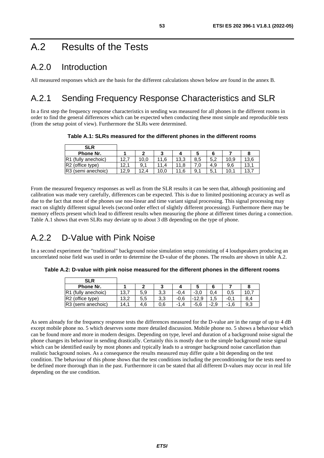# <span id="page-52-0"></span>A.2 Results of the Tests

### A.2.0 Introduction

All measured responses which are the basis for the different calculations shown below are found in the annex B.

# A.2.1 Sending Frequency Response Characteristics and SLR

In a first step the frequency response characteristics in sending was measured for all phones in the different rooms in order to find the general differences which can be expected when conducting these most simple and reproducible tests (from the setup point of view). Furthermore the SLRs were determined.

**Table A.1: SLRs measured for the different phones in the different rooms** 

| <b>SLR</b>                         |      |      |      |      |     |     |      |      |
|------------------------------------|------|------|------|------|-----|-----|------|------|
| Phone Nr.                          |      |      | ◠    |      |     |     |      |      |
| R <sub>1</sub><br>(fully anechoic) | 12.  | 10.0 | 11.6 | 13,3 | 8,5 | 5.2 | 10,9 | 13,6 |
| R <sub>2</sub> (office type)       | 12.  | 9,1  | 11.4 |      |     | 4.9 | 9.6  | 13,1 |
| R3 (semi anechoic)                 | 12,9 | 12.4 | 10,0 | .6   | 9.  | 5.  | 10.1 | 13.  |

From the measured frequency responses as well as from the SLR results it can be seen that, although positioning and calibration was made very carefully, differences can be expected. This is due to limited positioning accuracy as well as due to the fact that most of the phones use non-linear and time variant signal processing. This signal processing may react on slightly different signal levels (second order effect of slightly different processing). Furthermore there may be memory effects present which lead to different results when measuring the phone at different times during a connection. Table A.1 shows that even SLRs may deviate up to about 3 dB depending on the type of phone.

### A.2.2 D-Value with Pink Noise

In a second experiment the "traditional" background noise simulation setup consisting of 4 loudspeakers producing an uncorrelated noise field was used in order to determine the D-value of the phones. The results are shown in table A.2.

**Table A.2: D-value with pink noise measured for the different phones in the different rooms** 

| <b>SLR</b>                   |      |     |     |        |         |        |        |     |
|------------------------------|------|-----|-----|--------|---------|--------|--------|-----|
| Phone Nr.                    |      | ◠   | າ   |        |         |        |        |     |
| R1 (fully anechoic)          | 13,7 | 5,9 | 3,3 | $-0.4$ | $-3,0$  | 0.4    | 0,5    | 10. |
| R <sub>2</sub> (office type) | 13.2 | 5,5 | 3,3 | $-0.6$ | $-12.9$ | 1,5    | $-0.1$ | 8.4 |
| R3 (semi anechoic)           | 14.1 | 4.6 | 0,6 | -1.4   | $-5.6$  | $-2,9$ | $-1.6$ | 9,3 |

As seen already for the frequency response tests the differences measured for the D-value are in the range of up to 4 dB except mobile phone no. 5 which deserves some more detailed discussion. Mobile phone no. 5 shows a behaviour which can be found more and more in modern designs. Depending on type, level and duration of a background noise signal the phone changes its behaviour in sending drastically. Certainly this is mostly due to the simple background noise signal which can be identified easily by most phones and typically leads to a stronger background noise cancellation than realistic background noises. As a consequence the results measured may differ quite a bit depending on the test condition. The behaviour of this phone shows that the test conditions including the preconditioning for the tests need to be defined more thorough than in the past. Furthermore it can be stated that all different D-values may occur in real life depending on the use condition.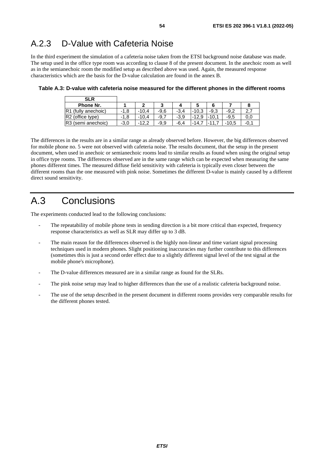### <span id="page-53-0"></span>A.2.3 D-Value with Cafeteria Noise

In the third experiment the simulation of a cafeteria noise taken from the ETSI background noise database was made. The setup used in the office type room was according to clause 8 of the present document. In the anechoic room as well as in the semianechoic room the modified setup as described above was used. Again, the measured response characteristics which are the basis for the D-value calculation are found in the annex B.

| <b>SLR</b>                     |        |         |        |        |            |            |         |                  |
|--------------------------------|--------|---------|--------|--------|------------|------------|---------|------------------|
| Phone Nr.                      |        |         |        |        |            |            |         |                  |
| R1 (fully anechoic)            | $-1,8$ | $-10.4$ | $-9.6$ | $-3.4$ | -10.3<br>- | $-9.3$     | $-9.2$  | ົ<br><u>. . </u> |
| R <sub>2</sub> (office type)   | $-1,8$ | $-10.4$ | $-9.7$ | $-3.9$ | $-12.9$    | 10.1-      | $-9.5$  | 0.0              |
| R <sub>3</sub> (semi anechoic) | $-3,0$ | $-12.2$ | $-9.9$ | $-6.4$ | $-14.$     | $\cdot$ 11 | $-10.5$ | -0.              |

**Table A.3: D-value with cafeteria noise measured for the different phones in the different rooms** 

The differences in the results are in a similar range as already observed before. However, the big differences observed for mobile phone no. 5 were not observed with cafeteria noise. The results document, that the setup in the present document, when used in anechoic or semianechoic rooms lead to similar results as found when using the original setup in office type rooms. The differences observed are in the same range which can be expected when measuring the same phones different times. The measured diffuse field sensitivity with cafeteria is typically even closer between the different rooms than the one measured with pink noise. Sometimes the different D-value is mainly caused by a different direct sound sensitivity.

# A.3 Conclusions

The experiments conducted lead to the following conclusions:

- The repeatability of mobile phone tests in sending direction is a bit more critical than expected, frequency response characteristics as well as SLR may differ up to 3 dB.
- The main reason for the differences observed is the highly non-linear and time variant signal processing techniques used in modern phones. Slight positioning inaccuracies may further contribute to this differences (sometimes this is just a second order effect due to a slightly different signal level of the test signal at the mobile phone's microphone).
- The D-value differences measured are in a similar range as found for the SLRs.
- The pink noise setup may lead to higher differences than the use of a realistic cafeteria background noise.
- The use of the setup described in the present document in different rooms provides very comparable results for the different phones tested.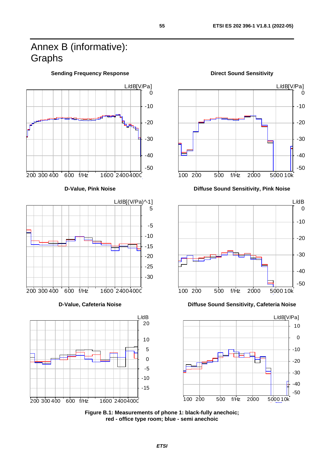# <span id="page-54-0"></span>Annex B (informative): Graphs







100 200 500 f/Hz 2000 5000 10k



**D-Value, Cafeteria Noise Diffuse Sound Sensitivity, Cafeteria Noise** 



**Figure B.1: Measurements of phone 1: black-fully anechoic; red - office type room; blue - semi anechoic** 

**Sending Frequency Response Community Community Community Community Predict Sound Sensitivity**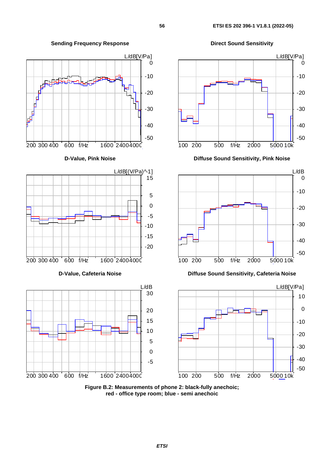**Sending Frequency Response Community Community Community Prequency Response Community Prepared Direct Sound Sensitivity** 











-50

-40

-30

**Figure B.2: Measurements of phone 2: black-fully anechoic; red - office type room; blue - semi anechoic**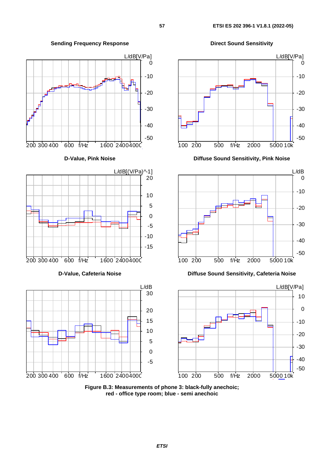**Sending Frequency Response Community Community Community Prequency Response Community Predicts** 











**D-Value, Pink Noise Diffuse Sound Sensitivity, Pink Noise** 



#### **D-Value, Cafeteria Noise Diffuse Sound Sensitivity, Cafeteria Noise**



**Figure B.3: Measurements of phone 3: black-fully anechoic; red - office type room; blue - semi anechoic**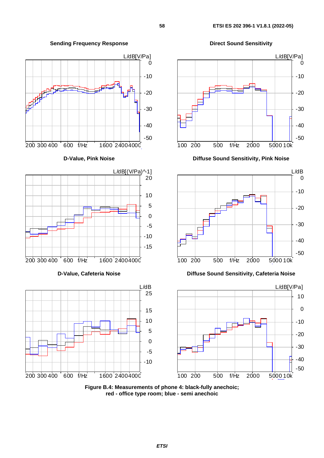L/dB[V/Pa]  $\Omega$ -10 -20 a kata<br>Pang -30 -40 -50 200 300 400 600 f/Hz 1600 24004000 **D-Value, Pink Noise Diffuse Sound Sensitivity, Pink Noise**   $L/dB[(V/Pa)^{\wedge}1]$ 20 10 5 0 -5 -10 -15 200 300 400 600 f/Hz 1600 24004000 **D-Value, Cafeteria Noise Diffuse Sound Sensitivity, Cafeteria Noise**  L/dB



**Sending Frequency Response Community Community Community Prequency Response Community Predicts** 







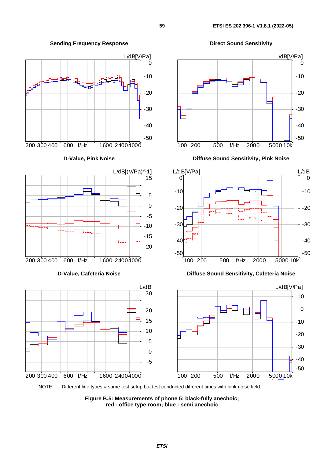

**Sending Frequency Response Community Community Community Prequency Response Community Pressure Direct Sound Sensitivity** 

L/dB[V/Pa] -50 -40 -30 -20 -10  $\Omega$ 100 200 500 f/Hz 2000 5000 10k L/dB[V/Pa] L/dB -30 -20 -10 0

100 200 500 f/Hz 2000 5000 10k

-50

-40



NOTE: Different line types = same test setup but test conducted different times with pink noise field.

-5

200 300 400 600 f/Hz 1600 24004000

**Figure B.5: Measurements of phone 5: black-fully anechoic; red - office type room; blue - semi anechoic**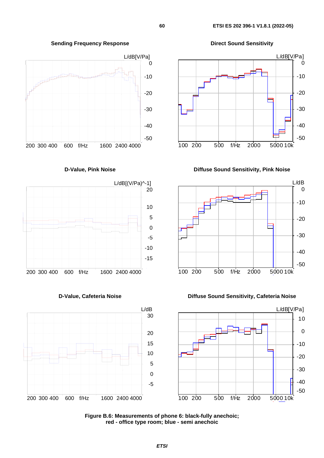

**D-Value, Pink Noise Diffuse Sound Sensitivity, Pink Noise** 











**D-Value, Cafeteria Noise Diffuse Sound Sensitivity, Cafeteria Noise** 



**Figure B.6: Measurements of phone 6: black-fully anechoic; red - office type room; blue - semi anechoic**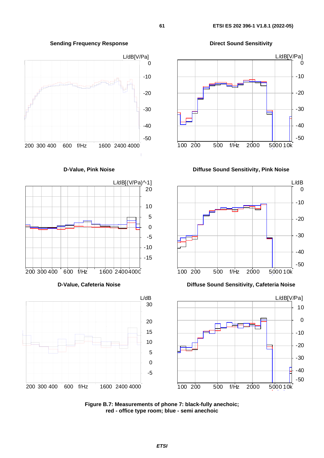

**D-Value, Pink Noise Diffuse Sound Sensitivity, Pink Noise** 



**D-Value, Cafeteria Noise Diffuse Sound Sensitivity, Cafeteria Noise** 



**Figure B.7: Measurements of phone 7: black-fully anechoic; red - office type room; blue - semi anechoic** 

### **Sending Frequency Response Community Community Community Prequency Response Community Pressure Direct Sound Sensitivity**





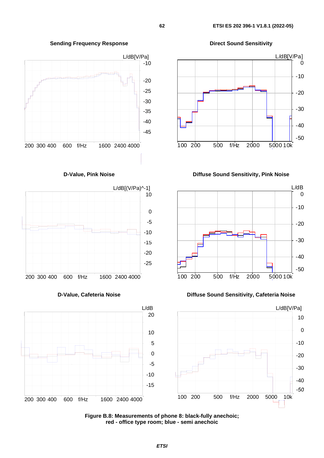

**D-Value, Pink Noise Community Community Community Diffuse Sound Sensitivity, Pink Noise** 



**D-Value, Cafeteria Noise Diffuse Sound Sensitivity, Cafeteria Noise** 



**Sending Frequency Response Community Community Community Prequency Response Community Pressure Direct Sound Sensitivity** 









**Figure B.8: Measurements of phone 8: black-fully anechoic; red - office type room; blue - semi anechoic**